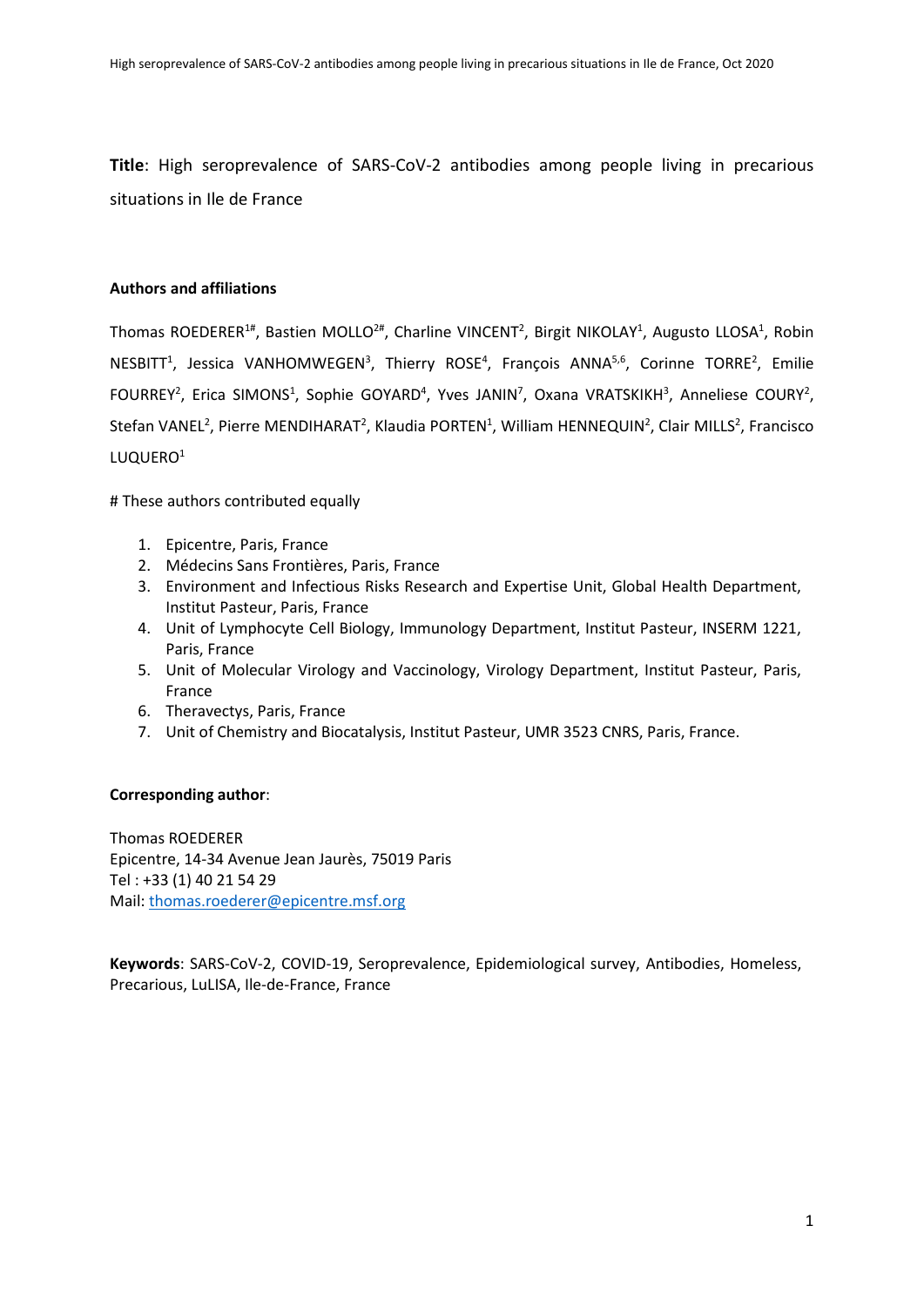**Title**: High seroprevalence of SARS-CoV-2 antibodies among people living in precarious situations in Ile de France

## **Authors and affiliations**

Thomas ROEDERER<sup>1#</sup>, Bastien MOLLO<sup>2#</sup>, Charline VINCENT<sup>2</sup>, Birgit NIKOLAY<sup>1</sup>, Augusto LLOSA<sup>1</sup>, Robin NESBITT<sup>1</sup>, Jessica VANHOMWEGEN<sup>3</sup>, Thierry ROSE<sup>4</sup>, François ANNA<sup>5,6</sup>, Corinne TORRE<sup>2</sup>, Emilie FOURREY<sup>2</sup>, Erica SIMONS<sup>1</sup>, Sophie GOYARD<sup>4</sup>, Yves JANIN<sup>7</sup>, Oxana VRATSKIKH<sup>3</sup>, Anneliese COURY<sup>2</sup>, Stefan VANEL<sup>2</sup>, Pierre MENDIHARAT<sup>2</sup>, Klaudia PORTEN<sup>1</sup>, William HENNEQUIN<sup>2</sup>, Clair MILLS<sup>2</sup>, Francisco LUQUERO<sup>1</sup>

# These authors contributed equally

- 1. Epicentre, Paris, France
- 2. Médecins Sans Frontières, Paris, France
- 3. Environment and Infectious Risks Research and Expertise Unit, Global Health Department, Institut Pasteur, Paris, France
- 4. Unit of Lymphocyte Cell Biology, Immunology Department, Institut Pasteur, INSERM 1221, Paris, France
- 5. Unit of Molecular Virology and Vaccinology, Virology Department, Institut Pasteur, Paris, France
- 6. Theravectys, Paris, France
- 7. Unit of Chemistry and Biocatalysis, Institut Pasteur, UMR 3523 CNRS, Paris, France.

## **Corresponding author**:

Thomas ROEDERER Epicentre, 14-34 Avenue Jean Jaurès, 75019 Paris Tel : +33 (1) 40 21 54 29 Mail: [thomas.roederer@epicentre.msf.org](mailto:thomas.roederer@epicentre.msf.org)

**Keywords**: SARS-CoV-2, COVID-19, Seroprevalence, Epidemiological survey, Antibodies, Homeless, Precarious, LuLISA, Ile-de-France, France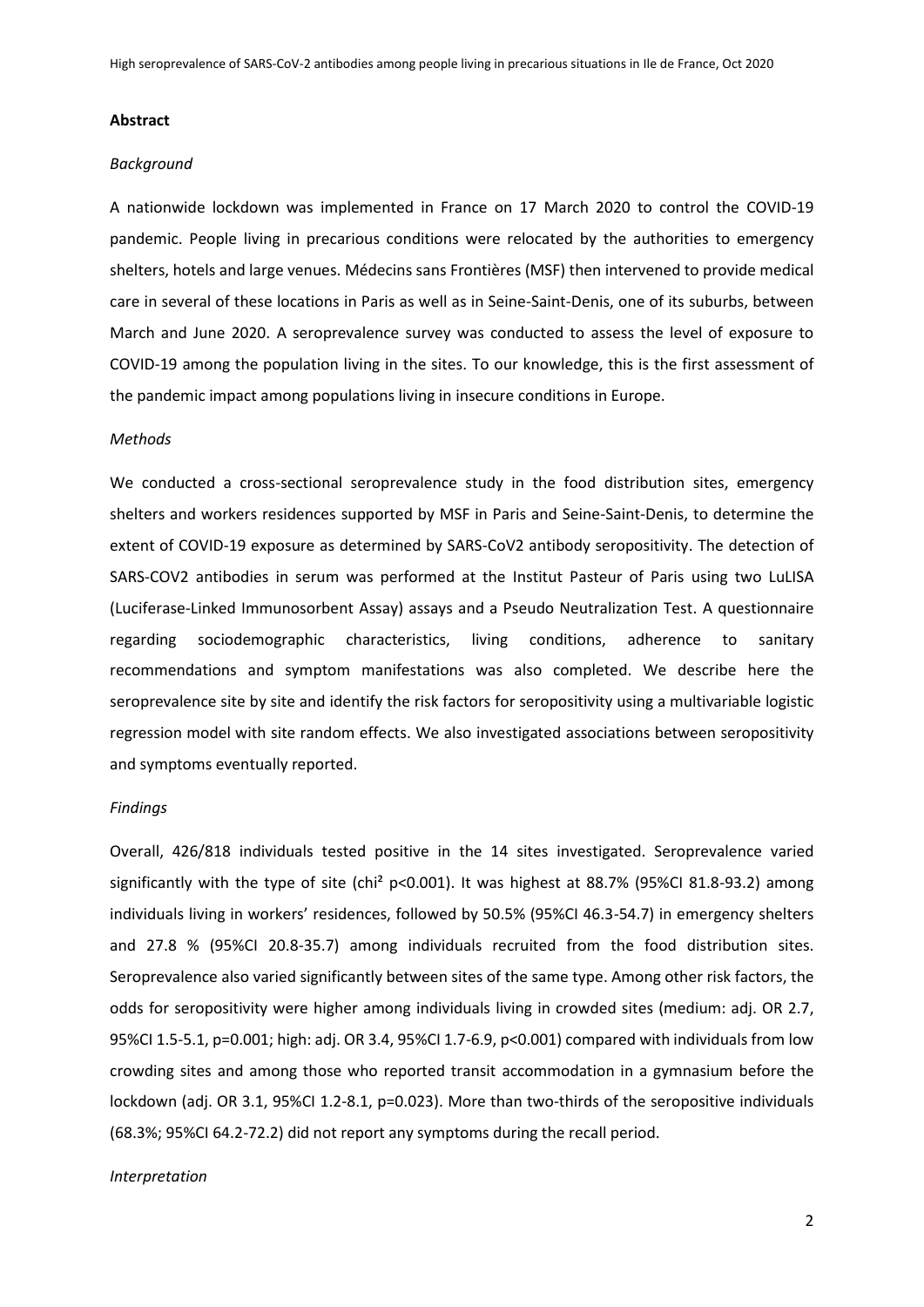### **Abstract**

#### *Background*

A nationwide lockdown was implemented in France on 17 March 2020 to control the COVID-19 pandemic. People living in precarious conditions were relocated by the authorities to emergency shelters, hotels and large venues. Médecins sans Frontières (MSF) then intervened to provide medical care in several of these locations in Paris as well as in Seine-Saint-Denis, one of its suburbs, between March and June 2020. A seroprevalence survey was conducted to assess the level of exposure to COVID-19 among the population living in the sites. To our knowledge, this is the first assessment of the pandemic impact among populations living in insecure conditions in Europe.

#### *Methods*

We conducted a cross-sectional seroprevalence study in the food distribution sites, emergency shelters and workers residences supported by MSF in Paris and Seine-Saint-Denis, to determine the extent of COVID-19 exposure as determined by SARS-CoV2 antibody seropositivity. The detection of SARS-COV2 antibodies in serum was performed at the Institut Pasteur of Paris using two LuLISA (Luciferase-Linked Immunosorbent Assay) assays and a Pseudo Neutralization Test. A questionnaire regarding sociodemographic characteristics, living conditions, adherence to sanitary recommendations and symptom manifestations was also completed. We describe here the seroprevalence site by site and identify the risk factors for seropositivity using a multivariable logistic regression model with site random effects. We also investigated associations between seropositivity and symptoms eventually reported.

### *Findings*

Overall, 426/818 individuals tested positive in the 14 sites investigated. Seroprevalence varied significantly with the type of site (chi<sup>2</sup> p<0.001). It was highest at 88.7% (95%CI 81.8-93.2) among individuals living in workers' residences, followed by 50.5% (95%CI 46.3-54.7) in emergency shelters and 27.8 % (95%CI 20.8-35.7) among individuals recruited from the food distribution sites. Seroprevalence also varied significantly between sites of the same type. Among other risk factors, the odds for seropositivity were higher among individuals living in crowded sites (medium: adj. OR 2.7, 95%CI 1.5-5.1, p=0.001; high: adj. OR 3.4, 95%CI 1.7-6.9, p<0.001) compared with individuals from low crowding sites and among those who reported transit accommodation in a gymnasium before the lockdown (adj. OR 3.1, 95%CI 1.2-8.1, p=0.023). More than two-thirds of the seropositive individuals (68.3%; 95%CI 64.2-72.2) did not report any symptoms during the recall period.

#### *Interpretation*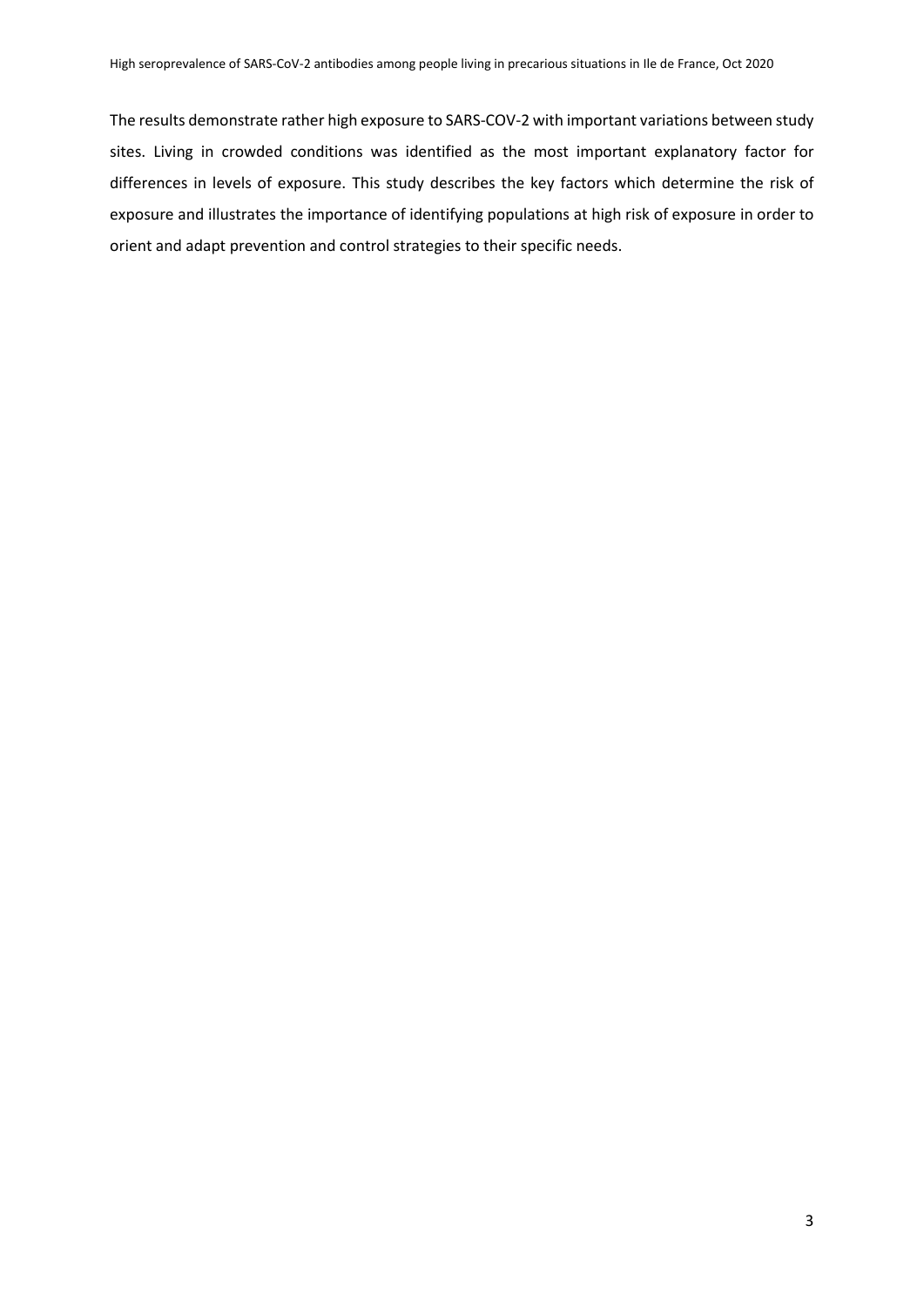The results demonstrate rather high exposure to SARS-COV-2 with important variations between study sites. Living in crowded conditions was identified as the most important explanatory factor for differences in levels of exposure. This study describes the key factors which determine the risk of exposure and illustrates the importance of identifying populations at high risk of exposure in order to orient and adapt prevention and control strategies to their specific needs.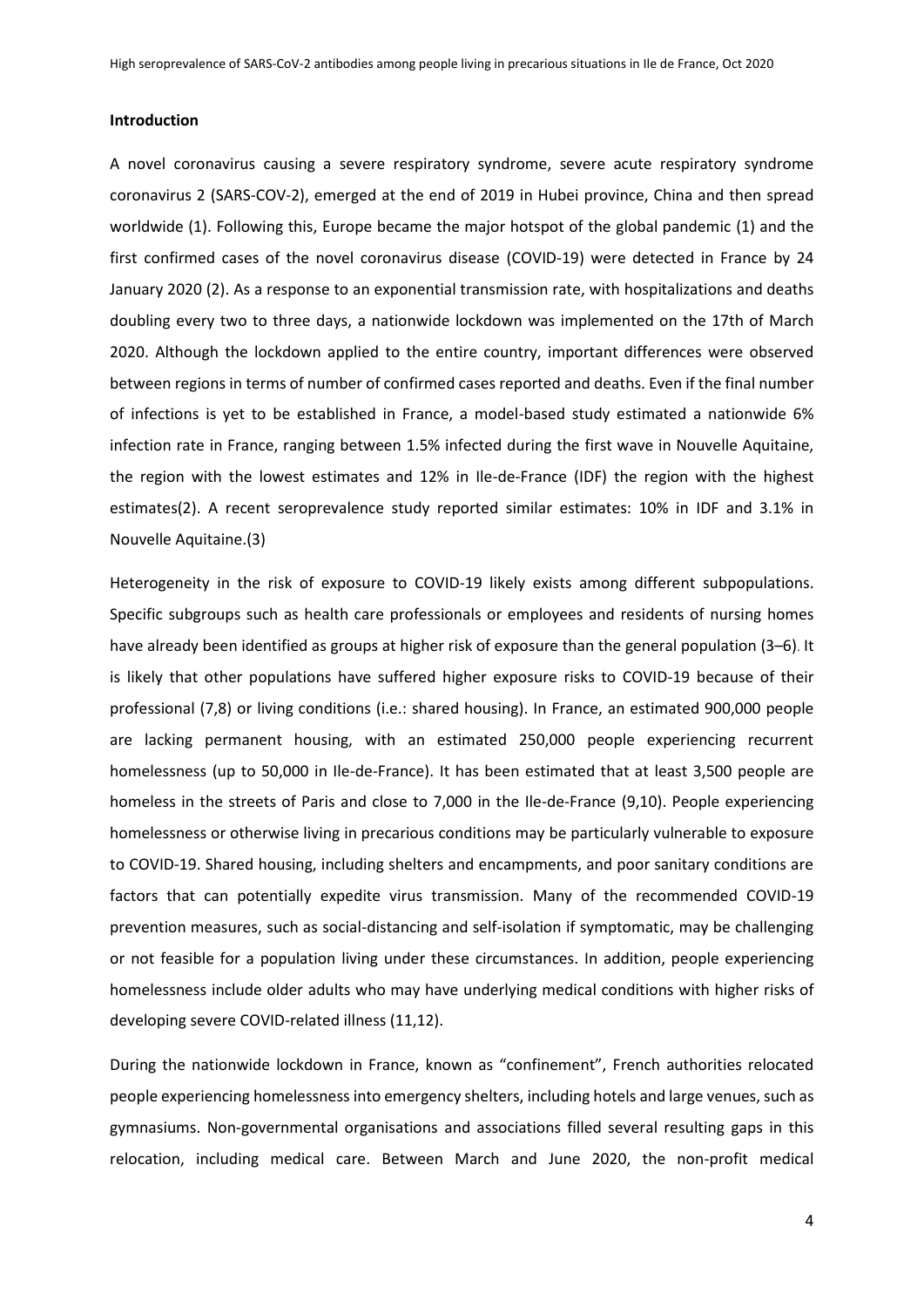### **Introduction**

A novel coronavirus causing a severe respiratory syndrome, severe acute respiratory syndrome coronavirus 2 (SARS-COV-2), emerged at the end of 2019 in Hubei province, China and then spread worldwide (1). Following this, Europe became the major hotspot of the global pandemic (1) and the first confirmed cases of the novel coronavirus disease (COVID-19) were detected in France by 24 January 2020 (2). As a response to an exponential transmission rate, with hospitalizations and deaths doubling every two to three days, a nationwide lockdown was implemented on the 17th of March 2020. Although the lockdown applied to the entire country, important differences were observed between regions in terms of number of confirmed cases reported and deaths. Even if the final number of infections is yet to be established in France, a model-based study estimated a nationwide 6% infection rate in France, ranging between 1.5% infected during the first wave in Nouvelle Aquitaine, the region with the lowest estimates and 12% in Ile-de-France (IDF) the region with the highest estimates(2). A recent seroprevalence study reported similar estimates: 10% in IDF and 3.1% in Nouvelle Aquitaine.(3)

Heterogeneity in the risk of exposure to COVID-19 likely exists among different subpopulations. Specific subgroups such as health care professionals or employees and residents of nursing homes have already been identified as groups at higher risk of exposure than the general population (3–6). It is likely that other populations have suffered higher exposure risks to COVID-19 because of their professional (7,8) or living conditions (i.e.: shared housing). In France, an estimated 900,000 people are lacking permanent housing, with an estimated 250,000 people experiencing recurrent homelessness (up to 50,000 in Ile-de-France). It has been estimated that at least 3,500 people are homeless in the streets of Paris and close to 7,000 in the Ile-de-France (9,10). People experiencing homelessness or otherwise living in precarious conditions may be particularly vulnerable to exposure to COVID-19. Shared housing, including shelters and encampments, and poor sanitary conditions are factors that can potentially expedite virus transmission. Many of the recommended COVID-19 prevention measures, such as social-distancing and self-isolation if symptomatic, may be challenging or not feasible for a population living under these circumstances. In addition, people experiencing homelessness include older adults who may have underlying medical conditions with higher risks of developing severe COVID-related illness (11,12).

During the nationwide lockdown in France, known as "confinement", French authorities relocated people experiencing homelessness into emergency shelters, including hotels and large venues, such as gymnasiums. Non-governmental organisations and associations filled several resulting gaps in this relocation, including medical care. Between March and June 2020, the non-profit medical

4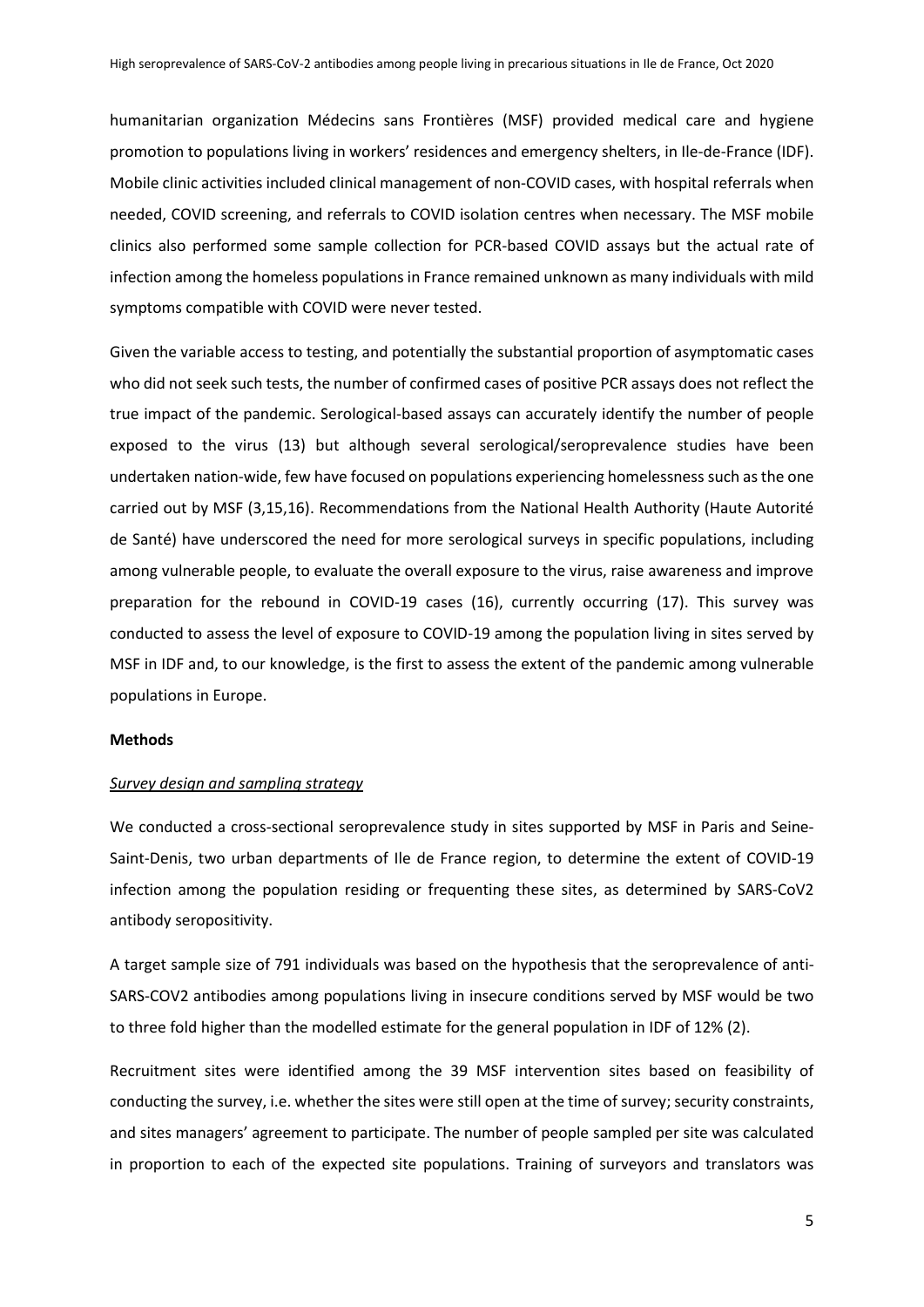humanitarian organization Médecins sans Frontières (MSF) provided medical care and hygiene promotion to populations living in workers' residences and emergency shelters, in Ile-de-France (IDF). Mobile clinic activities included clinical management of non-COVID cases, with hospital referrals when needed, COVID screening, and referrals to COVID isolation centres when necessary. The MSF mobile clinics also performed some sample collection for PCR-based COVID assays but the actual rate of infection among the homeless populations in France remained unknown as many individuals with mild symptoms compatible with COVID were never tested.

Given the variable access to testing, and potentially the substantial proportion of asymptomatic cases who did not seek such tests, the number of confirmed cases of positive PCR assays does not reflect the true impact of the pandemic. Serological-based assays can accurately identify the number of people exposed to the virus (13) but although several serological/seroprevalence studies have been undertaken nation-wide, few have focused on populations experiencing homelessness such as the one carried out by MSF (3,15,16). Recommendations from the National Health Authority (Haute Autorité de Santé) have underscored the need for more serological surveys in specific populations, including among vulnerable people, to evaluate the overall exposure to the virus, raise awareness and improve preparation for the rebound in COVID-19 cases (16), currently occurring (17). This survey was conducted to assess the level of exposure to COVID-19 among the population living in sites served by MSF in IDF and, to our knowledge, is the first to assess the extent of the pandemic among vulnerable populations in Europe.

### **Methods**

#### *Survey design and sampling strategy*

We conducted a cross-sectional seroprevalence study in sites supported by MSF in Paris and Seine-Saint-Denis, two urban departments of Ile de France region, to determine the extent of COVID-19 infection among the population residing or frequenting these sites, as determined by SARS-CoV2 antibody seropositivity.

A target sample size of 791 individuals was based on the hypothesis that the seroprevalence of anti-SARS-COV2 antibodies among populations living in insecure conditions served by MSF would be two to three fold higher than the modelled estimate for the general population in IDF of 12% (2).

Recruitment sites were identified among the 39 MSF intervention sites based on feasibility of conducting the survey, i.e. whether the sites were still open at the time of survey; security constraints, and sites managers' agreement to participate. The number of people sampled per site was calculated in proportion to each of the expected site populations. Training of surveyors and translators was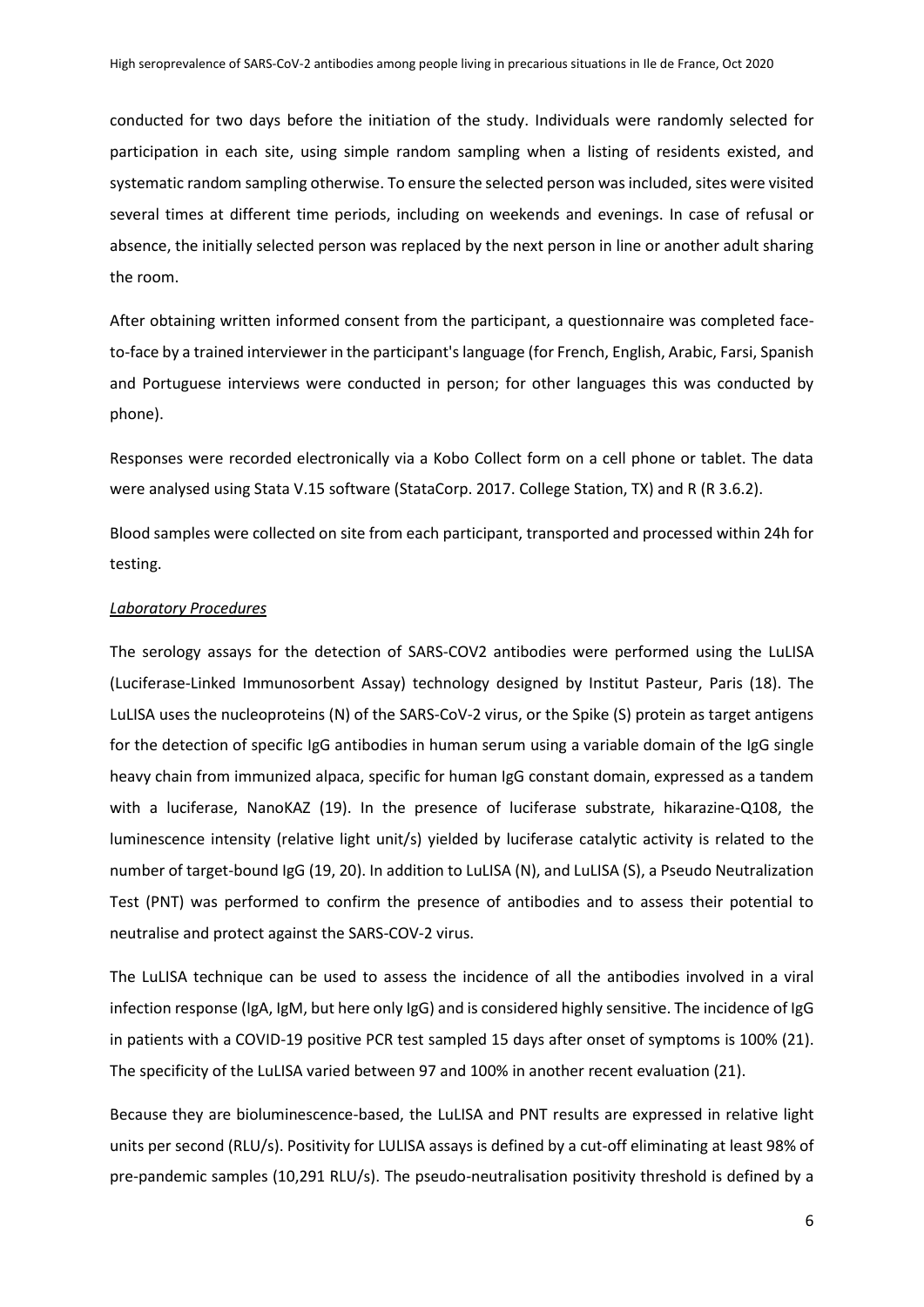conducted for two days before the initiation of the study. Individuals were randomly selected for participation in each site, using simple random sampling when a listing of residents existed, and systematic random sampling otherwise. To ensure the selected person was included, sites were visited several times at different time periods, including on weekends and evenings. In case of refusal or absence, the initially selected person was replaced by the next person in line or another adult sharing the room.

After obtaining written informed consent from the participant, a questionnaire was completed faceto-face by a trained interviewer in the participant's language (for French, English, Arabic, Farsi, Spanish and Portuguese interviews were conducted in person; for other languages this was conducted by phone).

Responses were recorded electronically via a Kobo Collect form on a cell phone or tablet. The data were analysed using Stata V.15 software (StataCorp. 2017. College Station, TX) and R (R 3.6.2).

Blood samples were collected on site from each participant, transported and processed within 24h for testing.

### *Laboratory Procedures*

The serology assays for the detection of SARS-COV2 antibodies were performed using the LuLISA (Luciferase-Linked Immunosorbent Assay) technology designed by Institut Pasteur, Paris (18). The LuLISA uses the nucleoproteins (N) of the SARS-CoV-2 virus, or the Spike (S) protein as target antigens for the detection of specific IgG antibodies in human serum using a variable domain of the IgG single heavy chain from immunized alpaca, specific for human IgG constant domain, expressed as a tandem with a luciferase, NanoKAZ (19). In the presence of luciferase substrate, hikarazine-Q108, the luminescence intensity (relative light unit/s) yielded by luciferase catalytic activity is related to the number of target-bound IgG (19, 20). In addition to LuLISA (N), and LuLISA (S), a Pseudo Neutralization Test (PNT) was performed to confirm the presence of antibodies and to assess their potential to neutralise and protect against the SARS-COV-2 virus.

The LuLISA technique can be used to assess the incidence of all the antibodies involved in a viral infection response (IgA, IgM, but here only IgG) and is considered highly sensitive. The incidence of IgG in patients with a COVID-19 positive PCR test sampled 15 days after onset of symptoms is 100% (21). The specificity of the LuLISA varied between 97 and 100% in another recent evaluation (21).

Because they are bioluminescence-based, the LuLISA and PNT results are expressed in relative light units per second (RLU/s). Positivity for LULISA assays is defined by a cut-off eliminating at least 98% of pre-pandemic samples (10,291 RLU/s). The pseudo-neutralisation positivity threshold is defined by a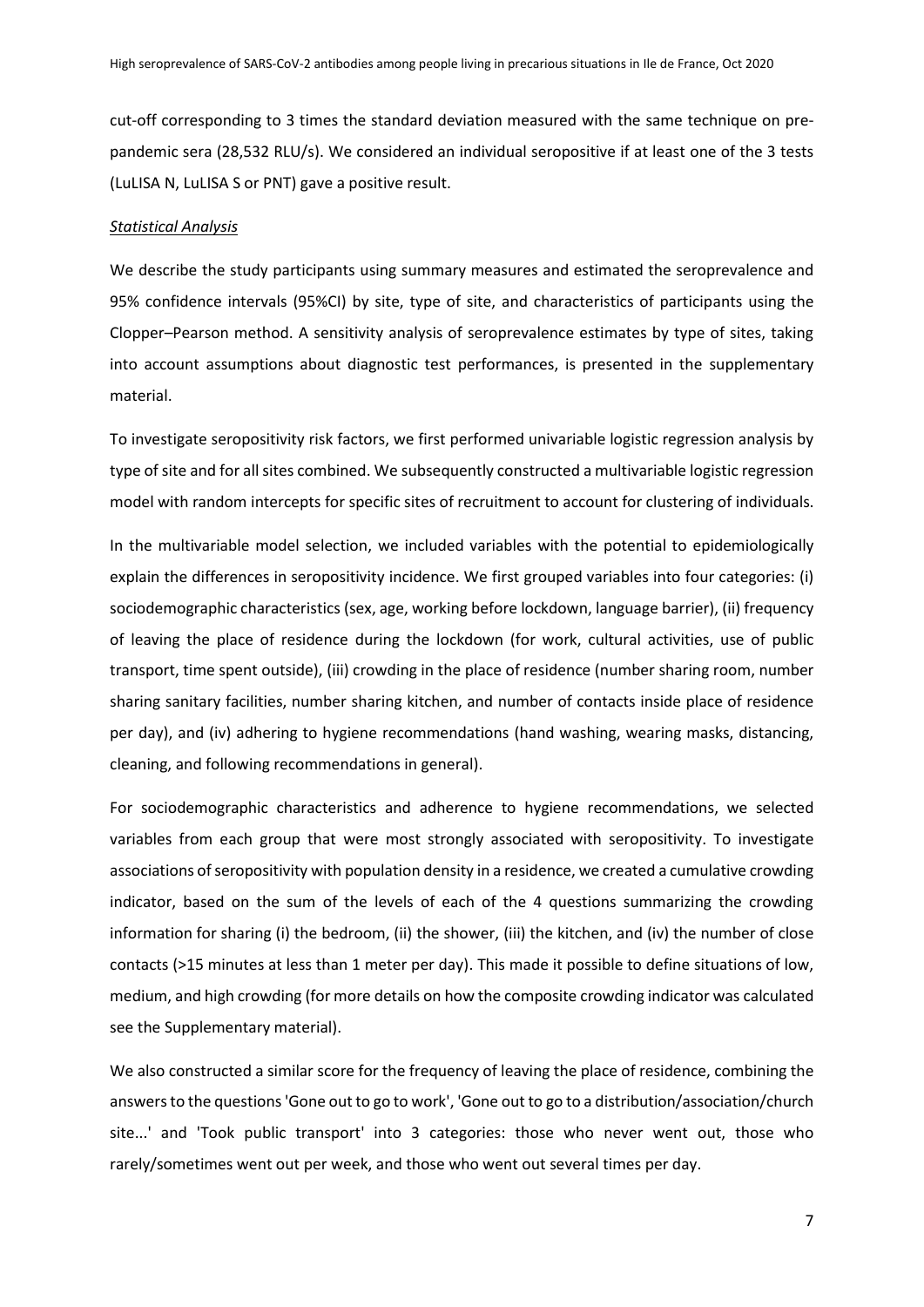cut-off corresponding to 3 times the standard deviation measured with the same technique on prepandemic sera (28,532 RLU/s). We considered an individual seropositive if at least one of the 3 tests (LuLISA N, LuLISA S or PNT) gave a positive result.

### *Statistical Analysis*

We describe the study participants using summary measures and estimated the seroprevalence and 95% confidence intervals (95%CI) by site, type of site, and characteristics of participants using the Clopper–Pearson method. A sensitivity analysis of seroprevalence estimates by type of sites, taking into account assumptions about diagnostic test performances, is presented in the supplementary material.

To investigate seropositivity risk factors, we first performed univariable logistic regression analysis by type of site and for all sites combined. We subsequently constructed a multivariable logistic regression model with random intercepts for specific sites of recruitment to account for clustering of individuals.

In the multivariable model selection, we included variables with the potential to epidemiologically explain the differences in seropositivity incidence. We first grouped variables into four categories: (i) sociodemographic characteristics (sex, age, working before lockdown, language barrier), (ii) frequency of leaving the place of residence during the lockdown (for work, cultural activities, use of public transport, time spent outside), (iii) crowding in the place of residence (number sharing room, number sharing sanitary facilities, number sharing kitchen, and number of contacts inside place of residence per day), and (iv) adhering to hygiene recommendations (hand washing, wearing masks, distancing, cleaning, and following recommendations in general).

For sociodemographic characteristics and adherence to hygiene recommendations, we selected variables from each group that were most strongly associated with seropositivity. To investigate associations of seropositivity with population density in a residence, we created a cumulative crowding indicator, based on the sum of the levels of each of the 4 questions summarizing the crowding information for sharing (i) the bedroom, (ii) the shower, (iii) the kitchen, and (iv) the number of close contacts (>15 minutes at less than 1 meter per day). This made it possible to define situations of low, medium, and high crowding (for more details on how the composite crowding indicator was calculated see the Supplementary material).

We also constructed a similar score for the frequency of leaving the place of residence, combining the answers to the questions 'Gone out to go to work', 'Gone out to go to a distribution/association/church site...' and 'Took public transport' into 3 categories: those who never went out, those who rarely/sometimes went out per week, and those who went out several times per day.

7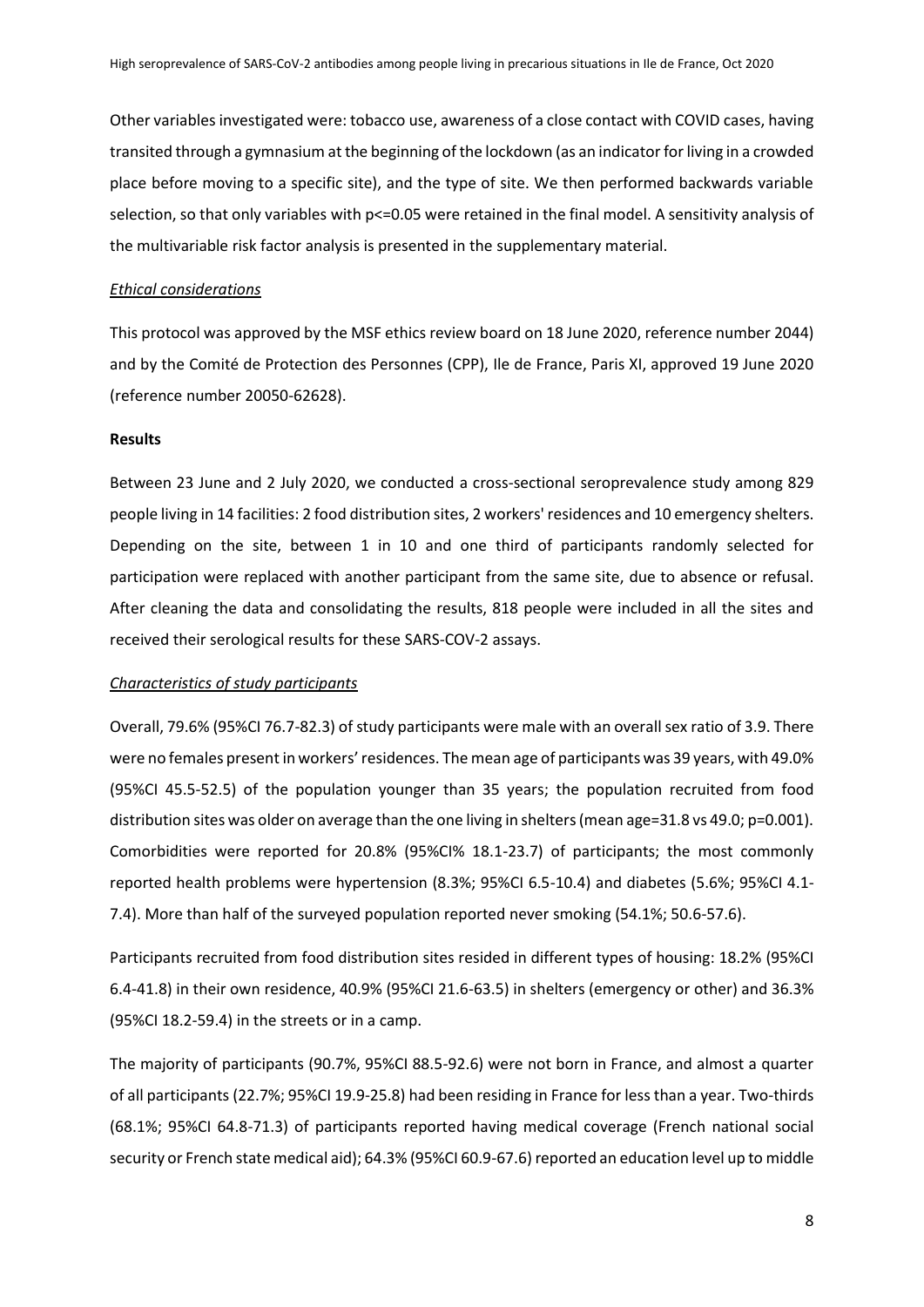Other variables investigated were: tobacco use, awareness of a close contact with COVID cases, having transited through a gymnasium at the beginning of the lockdown (as an indicator for living in a crowded place before moving to a specific site), and the type of site. We then performed backwards variable selection, so that only variables with p<=0.05 were retained in the final model. A sensitivity analysis of the multivariable risk factor analysis is presented in the supplementary material.

### *Ethical considerations*

This protocol was approved by the MSF ethics review board on 18 June 2020, reference number 2044) and by the Comité de Protection des Personnes (CPP), Ile de France, Paris XI, approved 19 June 2020 (reference number 20050-62628).

### **Results**

Between 23 June and 2 July 2020, we conducted a cross-sectional seroprevalence study among 829 people living in 14 facilities: 2 food distribution sites, 2 workers' residences and 10 emergency shelters. Depending on the site, between 1 in 10 and one third of participants randomly selected for participation were replaced with another participant from the same site, due to absence or refusal. After cleaning the data and consolidating the results, 818 people were included in all the sites and received their serological results for these SARS-COV-2 assays.

#### *Characteristics of study participants*

Overall, 79.6% (95%CI 76.7-82.3) of study participants were male with an overall sex ratio of 3.9. There were no females present in workers' residences. The mean age of participants was 39 years, with 49.0% (95%CI 45.5-52.5) of the population younger than 35 years; the population recruited from food distribution sites was older on average than the one living in shelters (mean age=31.8 vs 49.0; p=0.001). Comorbidities were reported for 20.8% (95%CI% 18.1-23.7) of participants; the most commonly reported health problems were hypertension (8.3%; 95%CI 6.5-10.4) and diabetes (5.6%; 95%CI 4.1- 7.4). More than half of the surveyed population reported never smoking (54.1%; 50.6-57.6).

Participants recruited from food distribution sites resided in different types of housing: 18.2% (95%CI 6.4-41.8) in their own residence, 40.9% (95%CI 21.6-63.5) in shelters (emergency or other) and 36.3% (95%CI 18.2-59.4) in the streets or in a camp.

The majority of participants (90.7%, 95%CI 88.5-92.6) were not born in France, and almost a quarter of all participants (22.7%; 95%CI 19.9-25.8) had been residing in France for less than a year. Two-thirds (68.1%; 95%CI 64.8-71.3) of participants reported having medical coverage (French national social security or French state medical aid); 64.3% (95%CI 60.9-67.6) reported an education level up to middle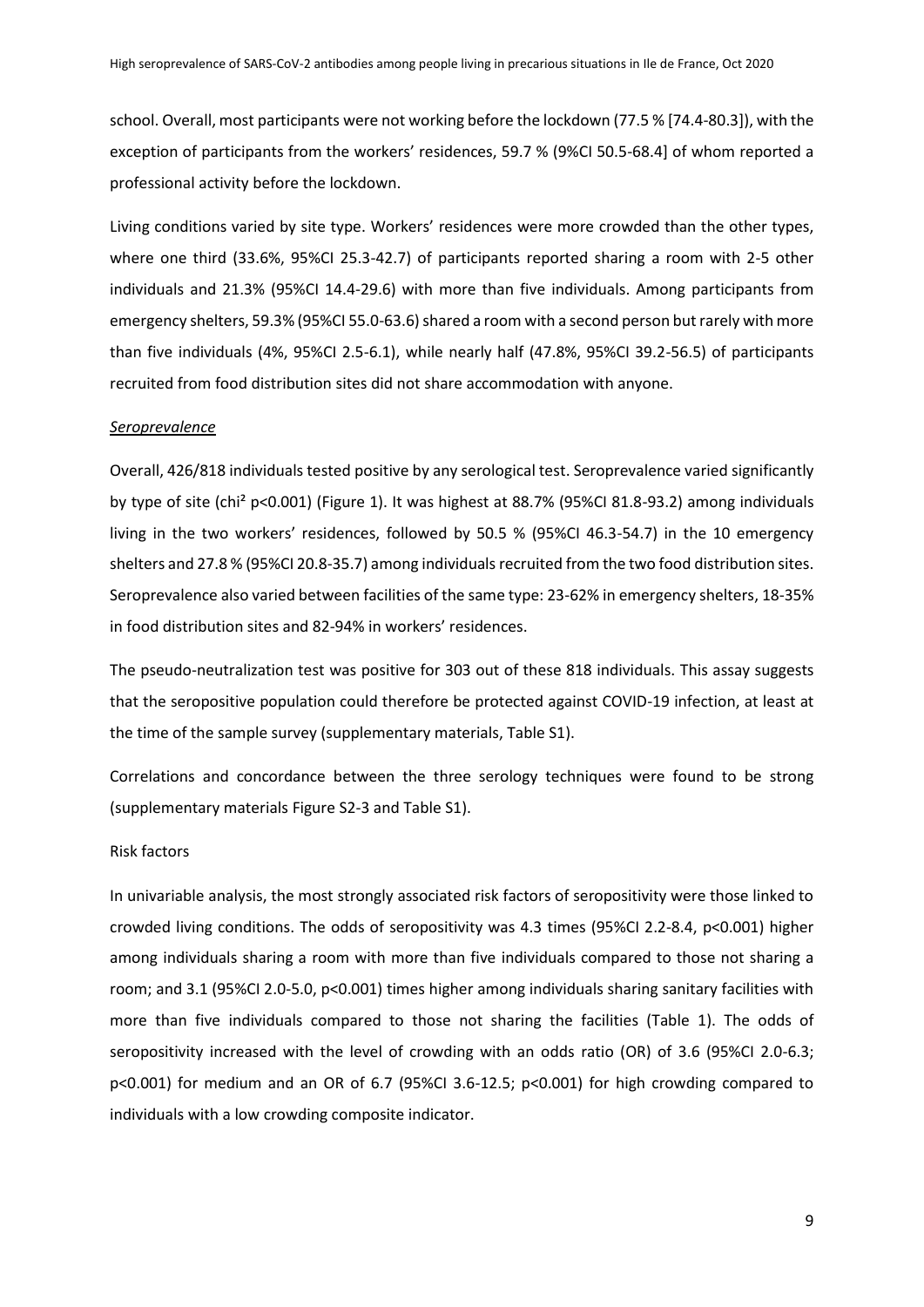school. Overall, most participants were not working before the lockdown (77.5 % [74.4-80.3]), with the exception of participants from the workers' residences, 59.7 % (9%CI 50.5-68.4] of whom reported a professional activity before the lockdown.

Living conditions varied by site type. Workers' residences were more crowded than the other types, where one third (33.6%, 95%CI 25.3-42.7) of participants reported sharing a room with 2-5 other individuals and 21.3% (95%CI 14.4-29.6) with more than five individuals. Among participants from emergency shelters, 59.3% (95%CI 55.0-63.6) shared a room with a second person but rarely with more than five individuals (4%, 95%CI 2.5-6.1), while nearly half (47.8%, 95%CI 39.2-56.5) of participants recruited from food distribution sites did not share accommodation with anyone.

#### *Seroprevalence*

Overall, 426/818 individuals tested positive by any serological test. Seroprevalence varied significantly by type of site (chi² p<0.001) (Figure 1). It was highest at 88.7% (95%CI 81.8-93.2) among individuals living in the two workers' residences, followed by 50.5 % (95%CI 46.3-54.7) in the 10 emergency shelters and 27.8 % (95%CI 20.8-35.7) among individuals recruited from the two food distribution sites. Seroprevalence also varied between facilities of the same type: 23-62% in emergency shelters, 18-35% in food distribution sites and 82-94% in workers' residences.

The pseudo-neutralization test was positive for 303 out of these 818 individuals. This assay suggests that the seropositive population could therefore be protected against COVID-19 infection, at least at the time of the sample survey (supplementary materials, Table S1).

Correlations and concordance between the three serology techniques were found to be strong (supplementary materials Figure S2-3 and Table S1).

#### Risk factors

In univariable analysis, the most strongly associated risk factors of seropositivity were those linked to crowded living conditions. The odds of seropositivity was 4.3 times (95%CI 2.2-8.4, p<0.001) higher among individuals sharing a room with more than five individuals compared to those not sharing a room; and 3.1 (95%CI 2.0-5.0, p<0.001) times higher among individuals sharing sanitary facilities with more than five individuals compared to those not sharing the facilities (Table 1). The odds of seropositivity increased with the level of crowding with an odds ratio (OR) of 3.6 (95%CI 2.0-6.3; p<0.001) for medium and an OR of 6.7 (95%CI 3.6-12.5; p<0.001) for high crowding compared to individuals with a low crowding composite indicator.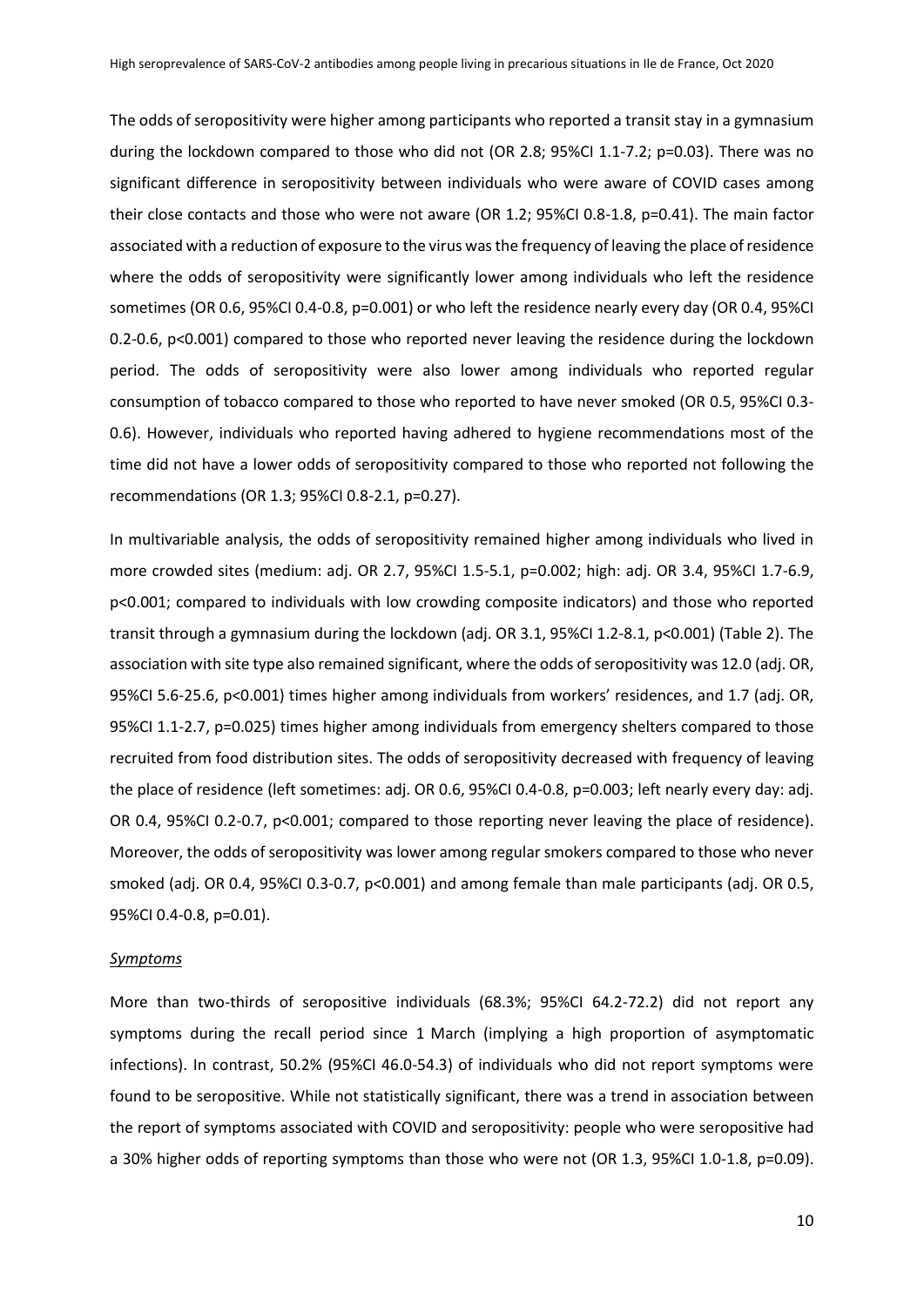The odds of seropositivity were higher among participants who reported a transit stay in a gymnasium during the lockdown compared to those who did not (OR 2.8; 95%CI 1.1-7.2; p=0.03). There was no significant difference in seropositivity between individuals who were aware of COVID cases among their close contacts and those who were not aware (OR 1.2; 95%CI 0.8-1.8, p=0.41). The main factor associated with a reduction of exposure to the virus was the frequency of leaving the place of residence where the odds of seropositivity were significantly lower among individuals who left the residence sometimes (OR 0.6, 95%CI 0.4-0.8, p=0.001) or who left the residence nearly every day (OR 0.4, 95%CI 0.2-0.6, p<0.001) compared to those who reported never leaving the residence during the lockdown period. The odds of seropositivity were also lower among individuals who reported regular consumption of tobacco compared to those who reported to have never smoked (OR 0.5, 95%CI 0.3- 0.6). However, individuals who reported having adhered to hygiene recommendations most of the time did not have a lower odds of seropositivity compared to those who reported not following the recommendations (OR 1.3; 95%CI 0.8-2.1, p=0.27).

In multivariable analysis, the odds of seropositivity remained higher among individuals who lived in more crowded sites (medium: adj. OR 2.7, 95%CI 1.5-5.1, p=0.002; high: adj. OR 3.4, 95%CI 1.7-6.9, p<0.001; compared to individuals with low crowding composite indicators) and those who reported transit through a gymnasium during the lockdown (adj. OR 3.1, 95%CI 1.2-8.1, p<0.001) (Table 2). The association with site type also remained significant, where the odds of seropositivity was 12.0 (adj. OR, 95%CI 5.6-25.6, p<0.001) times higher among individuals from workers' residences, and 1.7 (adj. OR, 95%CI 1.1-2.7, p=0.025) times higher among individuals from emergency shelters compared to those recruited from food distribution sites. The odds of seropositivity decreased with frequency of leaving the place of residence (left sometimes: adj. OR 0.6, 95%CI 0.4-0.8, p=0.003; left nearly every day: adj. OR 0.4, 95%CI 0.2-0.7, p<0.001; compared to those reporting never leaving the place of residence). Moreover, the odds of seropositivity was lower among regular smokers compared to those who never smoked (adj. OR 0.4, 95%CI 0.3-0.7, p<0.001) and among female than male participants (adj. OR 0.5, 95%CI 0.4-0.8, p=0.01).

#### *Symptoms*

More than two-thirds of seropositive individuals (68.3%; 95%CI 64.2-72.2) did not report any symptoms during the recall period since 1 March (implying a high proportion of asymptomatic infections). In contrast, 50.2% (95%CI 46.0-54.3) of individuals who did not report symptoms were found to be seropositive. While not statistically significant, there was a trend in association between the report of symptoms associated with COVID and seropositivity: people who were seropositive had a 30% higher odds of reporting symptoms than those who were not (OR 1.3, 95%CI 1.0-1.8, p=0.09).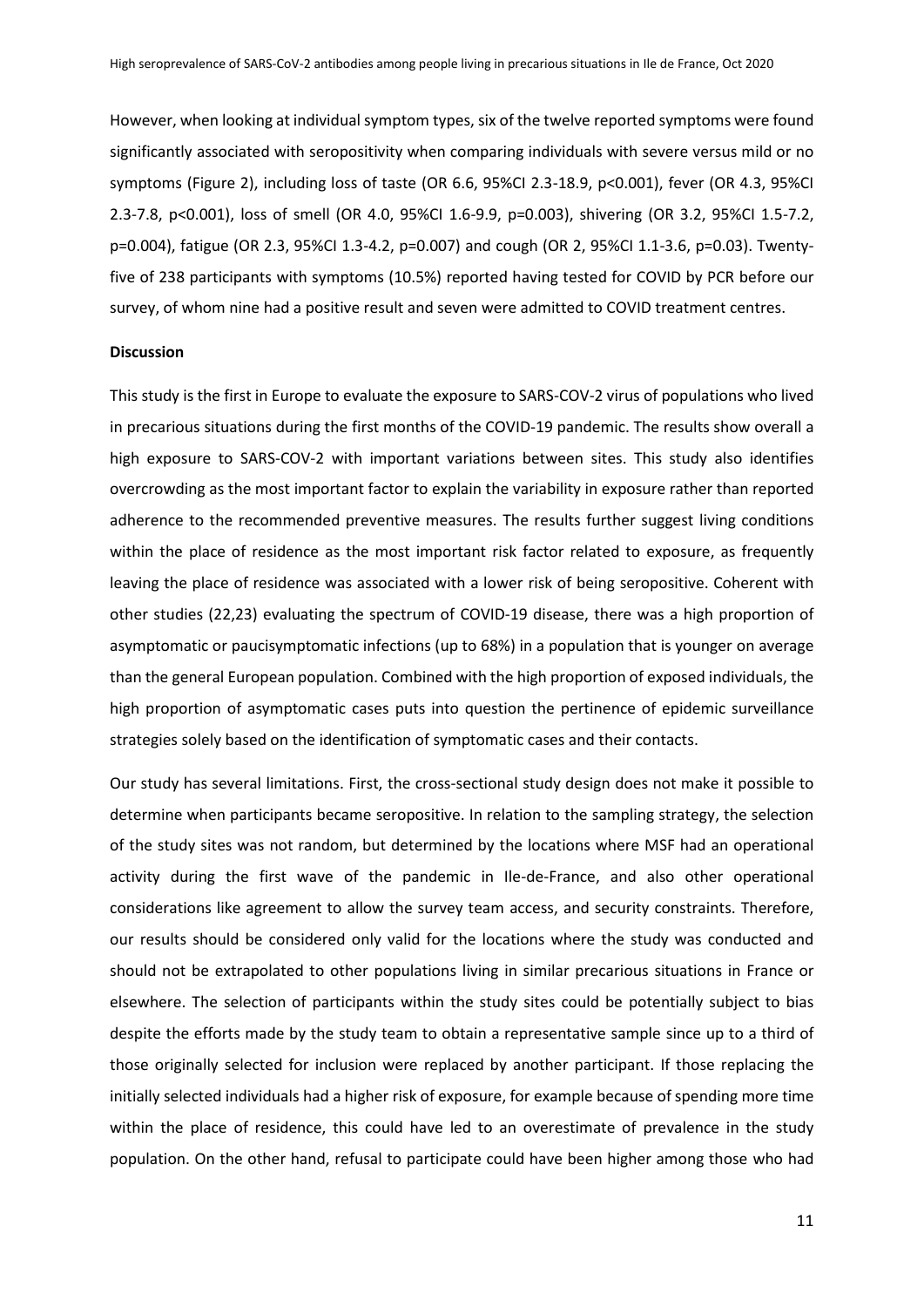However, when looking at individual symptom types, six of the twelve reported symptoms were found significantly associated with seropositivity when comparing individuals with severe versus mild or no symptoms (Figure 2), including loss of taste (OR 6.6, 95%CI 2.3-18.9, p<0.001), fever (OR 4.3, 95%CI 2.3-7.8, p<0.001), loss of smell (OR 4.0, 95%CI 1.6-9.9, p=0.003), shivering (OR 3.2, 95%CI 1.5-7.2, p=0.004), fatigue (OR 2.3, 95%CI 1.3-4.2, p=0.007) and cough (OR 2, 95%CI 1.1-3.6, p=0.03). Twentyfive of 238 participants with symptoms (10.5%) reported having tested for COVID by PCR before our survey, of whom nine had a positive result and seven were admitted to COVID treatment centres.

### **Discussion**

This study is the first in Europe to evaluate the exposure to SARS-COV-2 virus of populations who lived in precarious situations during the first months of the COVID-19 pandemic. The results show overall a high exposure to SARS-COV-2 with important variations between sites. This study also identifies overcrowding as the most important factor to explain the variability in exposure rather than reported adherence to the recommended preventive measures. The results further suggest living conditions within the place of residence as the most important risk factor related to exposure, as frequently leaving the place of residence was associated with a lower risk of being seropositive. Coherent with other studies (22,23) evaluating the spectrum of COVID-19 disease, there was a high proportion of asymptomatic or paucisymptomatic infections (up to 68%) in a population that is younger on average than the general European population. Combined with the high proportion of exposed individuals, the high proportion of asymptomatic cases puts into question the pertinence of epidemic surveillance strategies solely based on the identification of symptomatic cases and their contacts.

Our study has several limitations. First, the cross-sectional study design does not make it possible to determine when participants became seropositive. In relation to the sampling strategy, the selection of the study sites was not random, but determined by the locations where MSF had an operational activity during the first wave of the pandemic in Ile-de-France, and also other operational considerations like agreement to allow the survey team access, and security constraints. Therefore, our results should be considered only valid for the locations where the study was conducted and should not be extrapolated to other populations living in similar precarious situations in France or elsewhere. The selection of participants within the study sites could be potentially subject to bias despite the efforts made by the study team to obtain a representative sample since up to a third of those originally selected for inclusion were replaced by another participant. If those replacing the initially selected individuals had a higher risk of exposure, for example because of spending more time within the place of residence, this could have led to an overestimate of prevalence in the study population. On the other hand, refusal to participate could have been higher among those who had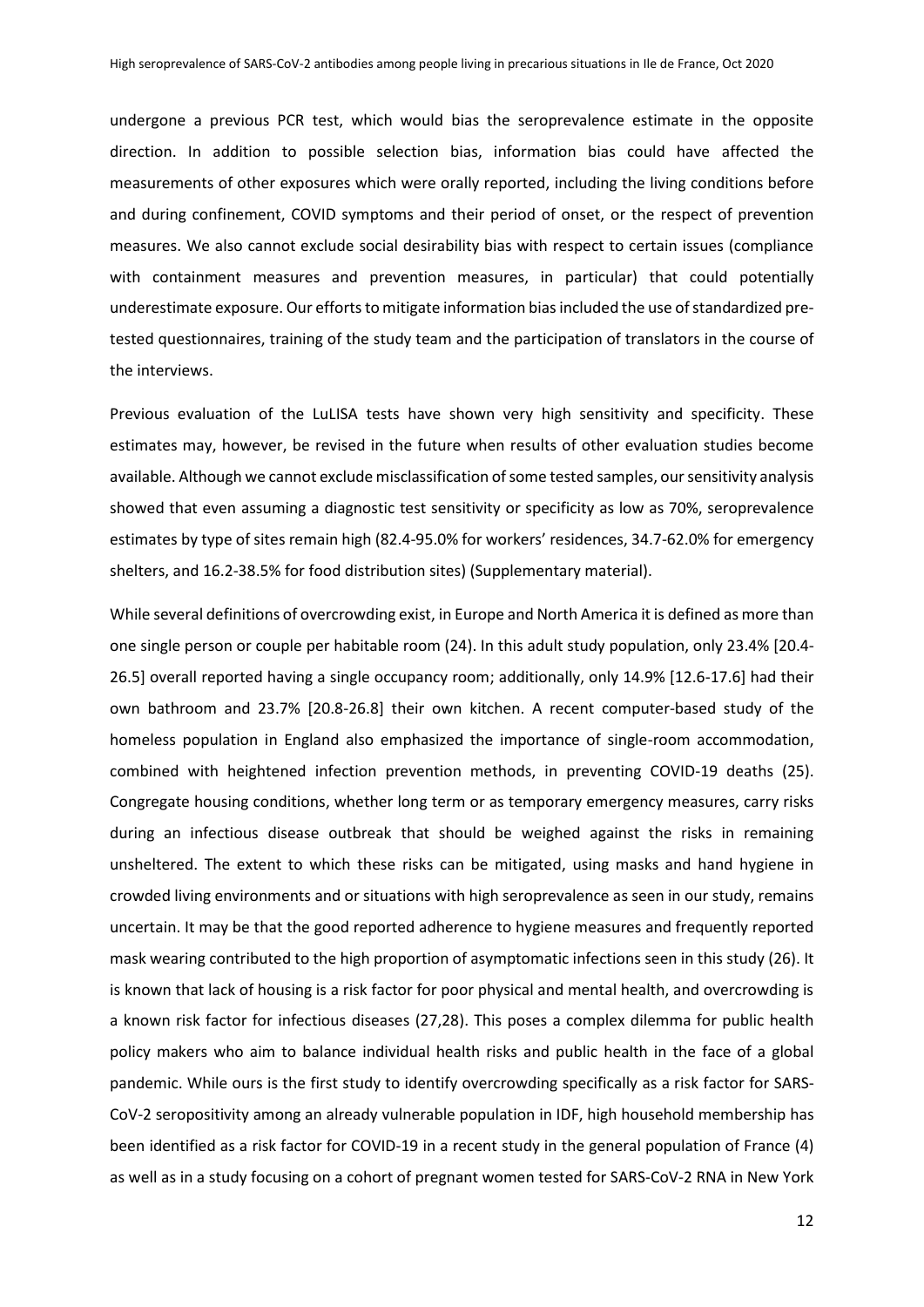undergone a previous PCR test, which would bias the seroprevalence estimate in the opposite direction. In addition to possible selection bias, information bias could have affected the measurements of other exposures which were orally reported, including the living conditions before and during confinement, COVID symptoms and their period of onset, or the respect of prevention measures. We also cannot exclude social desirability bias with respect to certain issues (compliance with containment measures and prevention measures, in particular) that could potentially underestimate exposure. Our efforts to mitigate information biasincluded the use of standardized pretested questionnaires, training of the study team and the participation of translators in the course of the interviews.

Previous evaluation of the LuLISA tests have shown very high sensitivity and specificity. These estimates may, however, be revised in the future when results of other evaluation studies become available. Although we cannot exclude misclassification of some tested samples, our sensitivity analysis showed that even assuming a diagnostic test sensitivity or specificity as low as 70%, seroprevalence estimates by type of sites remain high (82.4-95.0% for workers' residences, 34.7-62.0% for emergency shelters, and 16.2-38.5% for food distribution sites) (Supplementary material).

While several definitions of overcrowding exist, in Europe and North America it is defined as more than one single person or couple per habitable room (24). In this adult study population, only 23.4% [20.4- 26.5] overall reported having a single occupancy room; additionally, only 14.9% [12.6-17.6] had their own bathroom and 23.7% [20.8-26.8] their own kitchen. A recent computer-based study of the homeless population in England also emphasized the importance of single-room accommodation, combined with heightened infection prevention methods, in preventing COVID-19 deaths (25). Congregate housing conditions, whether long term or as temporary emergency measures, carry risks during an infectious disease outbreak that should be weighed against the risks in remaining unsheltered. The extent to which these risks can be mitigated, using masks and hand hygiene in crowded living environments and or situations with high seroprevalence as seen in our study, remains uncertain. It may be that the good reported adherence to hygiene measures and frequently reported mask wearing contributed to the high proportion of asymptomatic infections seen in this study (26). It is known that lack of housing is a risk factor for poor physical and mental health, and overcrowding is a known risk factor for infectious diseases (27,28). This poses a complex dilemma for public health policy makers who aim to balance individual health risks and public health in the face of a global pandemic. While ours is the first study to identify overcrowding specifically as a risk factor for SARS-CoV-2 seropositivity among an already vulnerable population in IDF, high household membership has been identified as a risk factor for COVID-19 in a recent study in the general population of France (4) as well as in a study focusing on a cohort of pregnant women tested for SARS-CoV-2 RNA in New York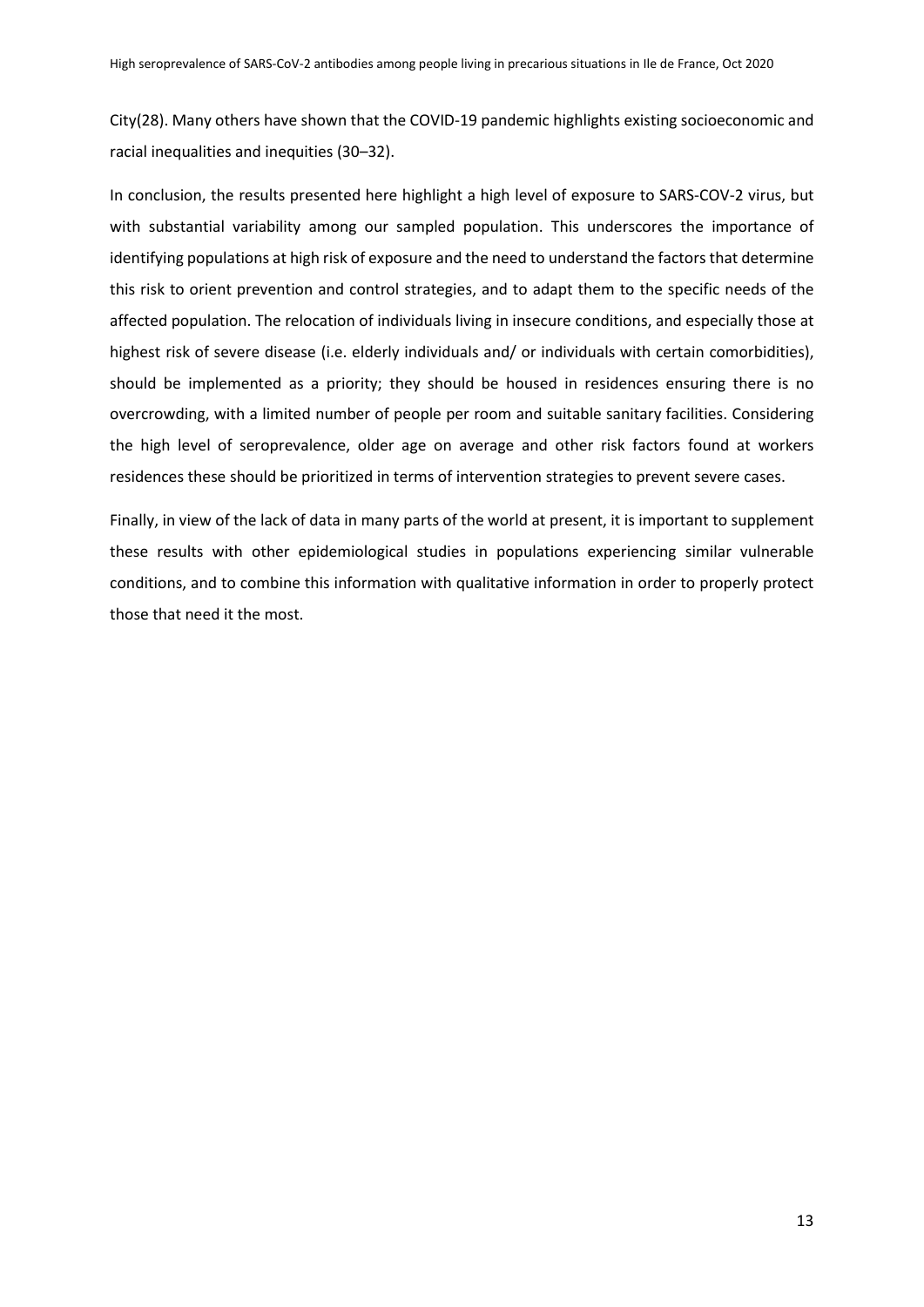City(28). Many others have shown that the COVID-19 pandemic highlights existing socioeconomic and racial inequalities and inequities (30–32).

In conclusion, the results presented here highlight a high level of exposure to SARS-COV-2 virus, but with substantial variability among our sampled population. This underscores the importance of identifying populations at high risk of exposure and the need to understand the factors that determine this risk to orient prevention and control strategies, and to adapt them to the specific needs of the affected population. The relocation of individuals living in insecure conditions, and especially those at highest risk of severe disease (i.e. elderly individuals and/ or individuals with certain comorbidities), should be implemented as a priority; they should be housed in residences ensuring there is no overcrowding, with a limited number of people per room and suitable sanitary facilities. Considering the high level of seroprevalence, older age on average and other risk factors found at workers residences these should be prioritized in terms of intervention strategies to prevent severe cases.

Finally, in view of the lack of data in many parts of the world at present, it is important to supplement these results with other epidemiological studies in populations experiencing similar vulnerable conditions, and to combine this information with qualitative information in order to properly protect those that need it the most.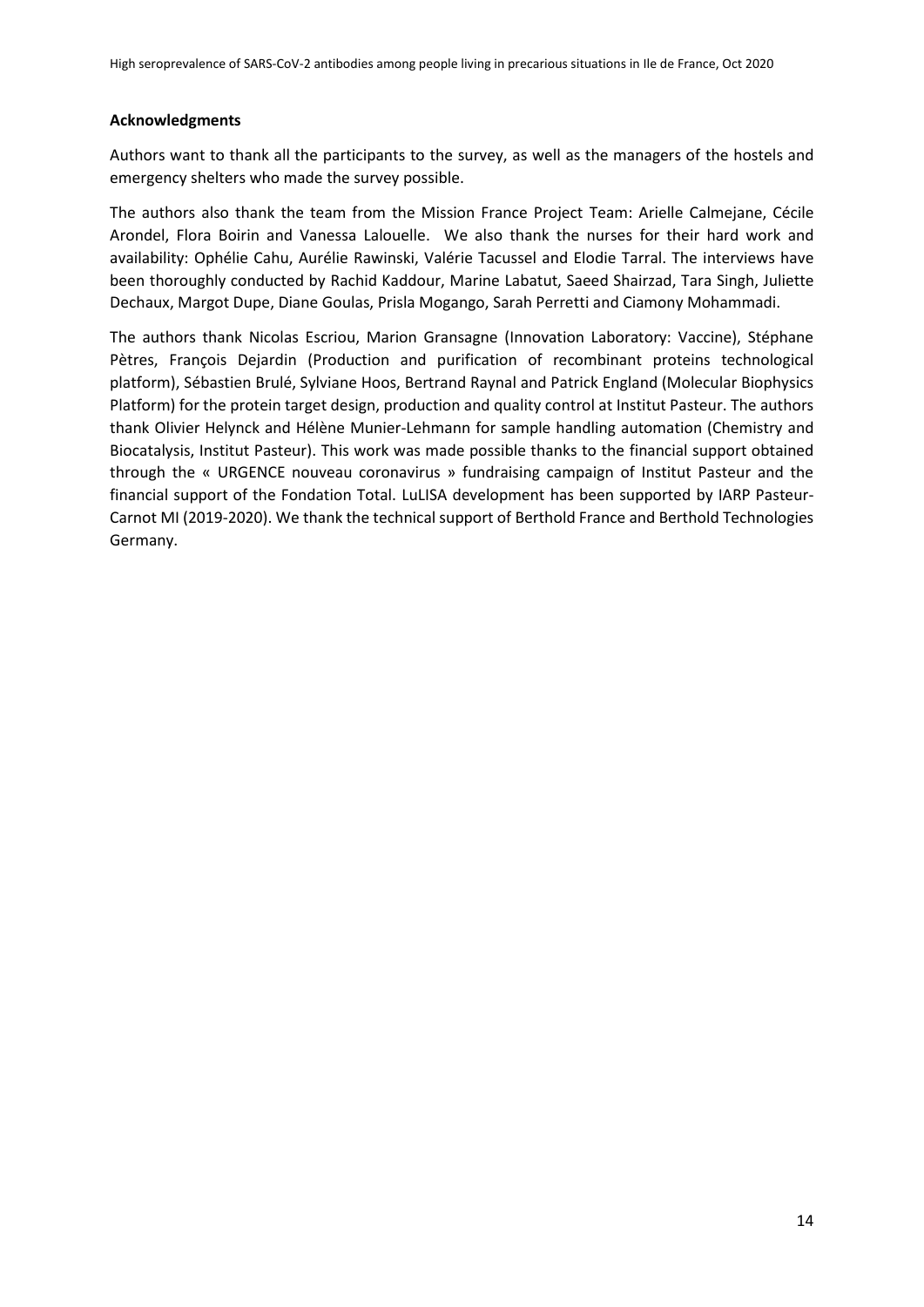### **Acknowledgments**

Authors want to thank all the participants to the survey, as well as the managers of the hostels and emergency shelters who made the survey possible.

The authors also thank the team from the Mission France Project Team: Arielle Calmejane, Cécile Arondel, Flora Boirin and Vanessa Lalouelle. We also thank the nurses for their hard work and availability: Ophélie Cahu, Aurélie Rawinski, Valérie Tacussel and Elodie Tarral. The interviews have been thoroughly conducted by Rachid Kaddour, Marine Labatut, Saeed Shairzad, Tara Singh, Juliette Dechaux, Margot Dupe, Diane Goulas, Prisla Mogango, Sarah Perretti and Ciamony Mohammadi.

The authors thank Nicolas Escriou, Marion Gransagne (Innovation Laboratory: Vaccine), Stéphane Pètres, François Dejardin (Production and purification of recombinant proteins technological platform), Sébastien Brulé, Sylviane Hoos, Bertrand Raynal and Patrick England (Molecular Biophysics Platform) for the protein target design, production and quality control at Institut Pasteur. The authors thank Olivier Helynck and Hélène Munier-Lehmann for sample handling automation (Chemistry and Biocatalysis, Institut Pasteur). This work was made possible thanks to the financial support obtained through the « URGENCE nouveau coronavirus » fundraising campaign of Institut Pasteur and the financial support of the Fondation Total. LuLISA development has been supported by IARP Pasteur-Carnot MI (2019-2020). We thank the technical support of Berthold France and Berthold Technologies Germany.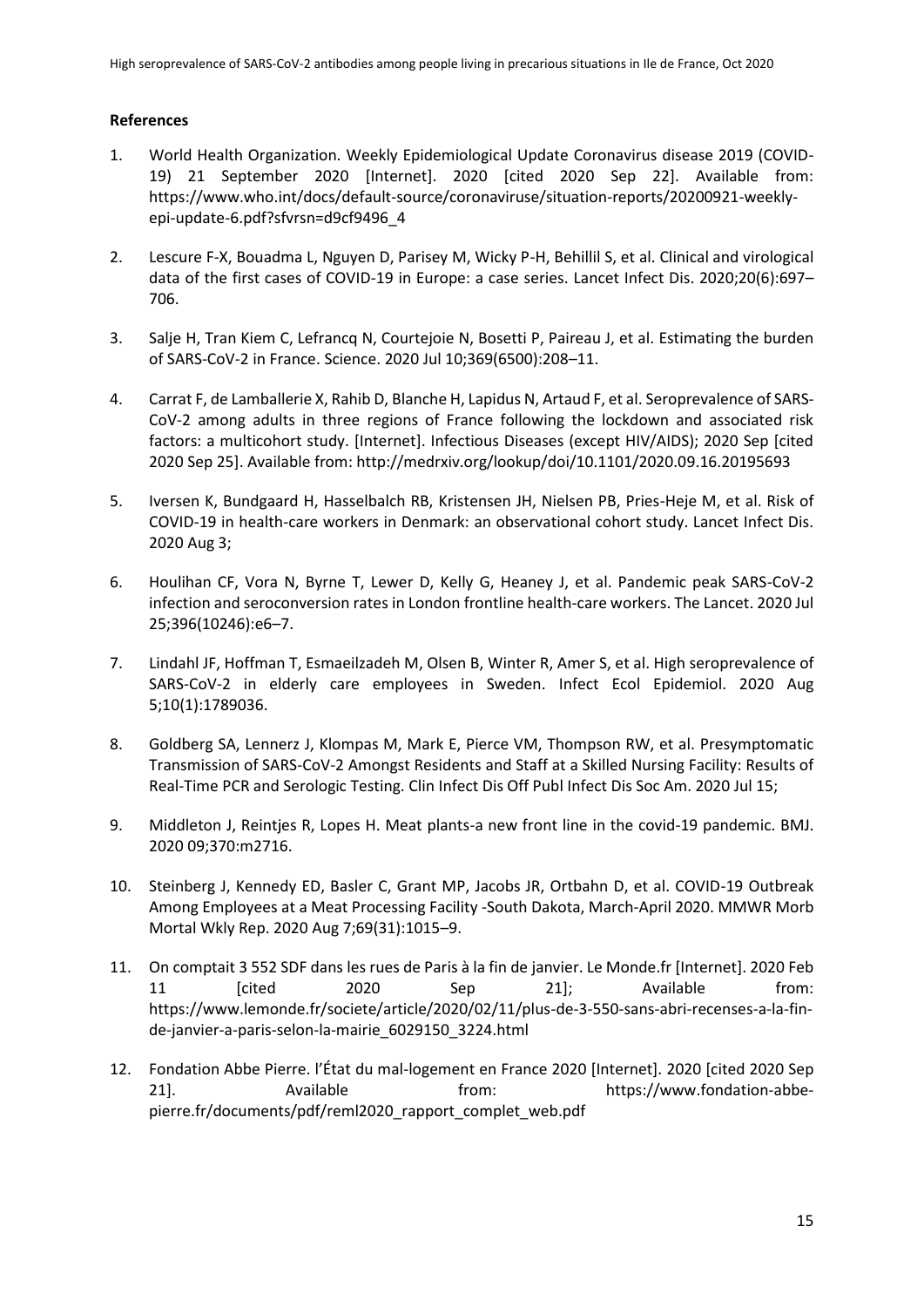## **References**

- 1. World Health Organization. Weekly Epidemiological Update Coronavirus disease 2019 (COVID-19) 21 September 2020 [Internet]. 2020 [cited 2020 Sep 22]. Available from: https://www.who.int/docs/default-source/coronaviruse/situation-reports/20200921-weeklyepi-update-6.pdf?sfvrsn=d9cf9496\_4
- 2. Lescure F-X, Bouadma L, Nguyen D, Parisey M, Wicky P-H, Behillil S, et al. Clinical and virological data of the first cases of COVID-19 in Europe: a case series. Lancet Infect Dis. 2020;20(6):697– 706.
- 3. Salje H, Tran Kiem C, Lefrancq N, Courtejoie N, Bosetti P, Paireau J, et al. Estimating the burden of SARS-CoV-2 in France. Science. 2020 Jul 10;369(6500):208–11.
- 4. Carrat F, de Lamballerie X, Rahib D, Blanche H, Lapidus N, Artaud F, et al. Seroprevalence of SARS-CoV-2 among adults in three regions of France following the lockdown and associated risk factors: a multicohort study. [Internet]. Infectious Diseases (except HIV/AIDS); 2020 Sep [cited 2020 Sep 25]. Available from: http://medrxiv.org/lookup/doi/10.1101/2020.09.16.20195693
- 5. Iversen K, Bundgaard H, Hasselbalch RB, Kristensen JH, Nielsen PB, Pries-Heje M, et al. Risk of COVID-19 in health-care workers in Denmark: an observational cohort study. Lancet Infect Dis. 2020 Aug 3;
- 6. Houlihan CF, Vora N, Byrne T, Lewer D, Kelly G, Heaney J, et al. Pandemic peak SARS-CoV-2 infection and seroconversion rates in London frontline health-care workers. The Lancet. 2020 Jul 25;396(10246):e6–7.
- 7. Lindahl JF, Hoffman T, Esmaeilzadeh M, Olsen B, Winter R, Amer S, et al. High seroprevalence of SARS-CoV-2 in elderly care employees in Sweden. Infect Ecol Epidemiol. 2020 Aug 5;10(1):1789036.
- 8. Goldberg SA, Lennerz J, Klompas M, Mark E, Pierce VM, Thompson RW, et al. Presymptomatic Transmission of SARS-CoV-2 Amongst Residents and Staff at a Skilled Nursing Facility: Results of Real-Time PCR and Serologic Testing. Clin Infect Dis Off Publ Infect Dis Soc Am. 2020 Jul 15;
- 9. Middleton J, Reintjes R, Lopes H. Meat plants-a new front line in the covid-19 pandemic. BMJ. 2020 09;370:m2716.
- 10. Steinberg J, Kennedy ED, Basler C, Grant MP, Jacobs JR, Ortbahn D, et al. COVID-19 Outbreak Among Employees at a Meat Processing Facility -South Dakota, March-April 2020. MMWR Morb Mortal Wkly Rep. 2020 Aug 7;69(31):1015–9.
- 11. On comptait 3 552 SDF dans les rues de Paris à la fin de janvier. Le Monde.fr [Internet]. 2020 Feb 11 [cited 2020 Sep 21]; Available from: https://www.lemonde.fr/societe/article/2020/02/11/plus-de-3-550-sans-abri-recenses-a-la-finde-janvier-a-paris-selon-la-mairie\_6029150\_3224.html
- 12. Fondation Abbe Pierre. l'État du mal-logement en France 2020 [Internet]. 2020 [cited 2020 Sep 21]. Available from: https://www.fondation-abbepierre.fr/documents/pdf/reml2020\_rapport\_complet\_web.pdf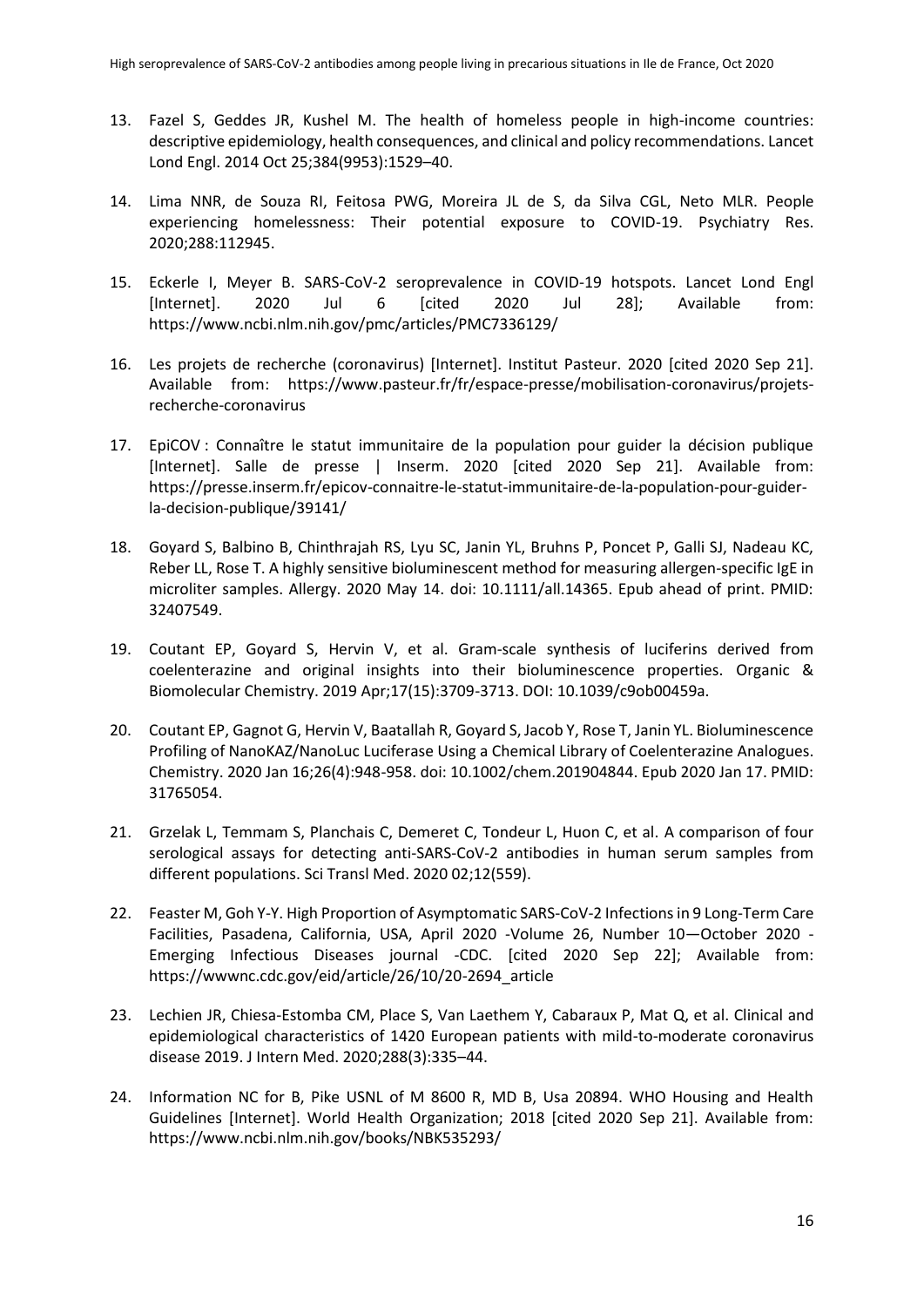- 13. Fazel S, Geddes JR, Kushel M. The health of homeless people in high-income countries: descriptive epidemiology, health consequences, and clinical and policy recommendations. Lancet Lond Engl. 2014 Oct 25;384(9953):1529–40.
- 14. Lima NNR, de Souza RI, Feitosa PWG, Moreira JL de S, da Silva CGL, Neto MLR. People experiencing homelessness: Their potential exposure to COVID-19. Psychiatry Res. 2020;288:112945.
- 15. Eckerle I, Meyer B. SARS-CoV-2 seroprevalence in COVID-19 hotspots. Lancet Lond Engl [Internet]. 2020 Jul 6 [cited 2020 Jul 28]; Available from: https://www.ncbi.nlm.nih.gov/pmc/articles/PMC7336129/
- 16. Les projets de recherche (coronavirus) [Internet]. Institut Pasteur. 2020 [cited 2020 Sep 21]. Available from: https://www.pasteur.fr/fr/espace-presse/mobilisation-coronavirus/projetsrecherche-coronavirus
- 17. EpiCOV : Connaître le statut immunitaire de la population pour guider la décision publique [Internet]. Salle de presse | Inserm. 2020 [cited 2020 Sep 21]. Available from: https://presse.inserm.fr/epicov-connaitre-le-statut-immunitaire-de-la-population-pour-guiderla-decision-publique/39141/
- 18. Goyard S, Balbino B, Chinthrajah RS, Lyu SC, Janin YL, Bruhns P, Poncet P, Galli SJ, Nadeau KC, Reber LL, Rose T. A highly sensitive bioluminescent method for measuring allergen-specific IgE in microliter samples. Allergy. 2020 May 14. doi: 10.1111/all.14365. Epub ahead of print. PMID: 32407549.
- 19. Coutant EP, Goyard S, Hervin V, et al. Gram-scale synthesis of luciferins derived from coelenterazine and original insights into their bioluminescence properties. Organic & Biomolecular Chemistry. 2019 Apr;17(15):3709-3713. DOI: 10.1039/c9ob00459a.
- 20. Coutant EP, Gagnot G, Hervin V, Baatallah R, Goyard S, Jacob Y, Rose T, Janin YL. Bioluminescence Profiling of NanoKAZ/NanoLuc Luciferase Using a Chemical Library of Coelenterazine Analogues. Chemistry. 2020 Jan 16;26(4):948-958. doi: 10.1002/chem.201904844. Epub 2020 Jan 17. PMID: 31765054.
- 21. Grzelak L, Temmam S, Planchais C, Demeret C, Tondeur L, Huon C, et al. A comparison of four serological assays for detecting anti-SARS-CoV-2 antibodies in human serum samples from different populations. Sci Transl Med. 2020 02;12(559).
- 22. Feaster M, Goh Y-Y. High Proportion of Asymptomatic SARS-CoV-2 Infections in 9 Long-Term Care Facilities, Pasadena, California, USA, April 2020 -Volume 26, Number 10—October 2020 - Emerging Infectious Diseases journal -CDC. [cited 2020 Sep 22]; Available from: https://wwwnc.cdc.gov/eid/article/26/10/20-2694\_article
- 23. Lechien JR, Chiesa-Estomba CM, Place S, Van Laethem Y, Cabaraux P, Mat Q, et al. Clinical and epidemiological characteristics of 1420 European patients with mild-to-moderate coronavirus disease 2019. J Intern Med. 2020;288(3):335–44.
- 24. Information NC for B, Pike USNL of M 8600 R, MD B, Usa 20894. WHO Housing and Health Guidelines [Internet]. World Health Organization; 2018 [cited 2020 Sep 21]. Available from: https://www.ncbi.nlm.nih.gov/books/NBK535293/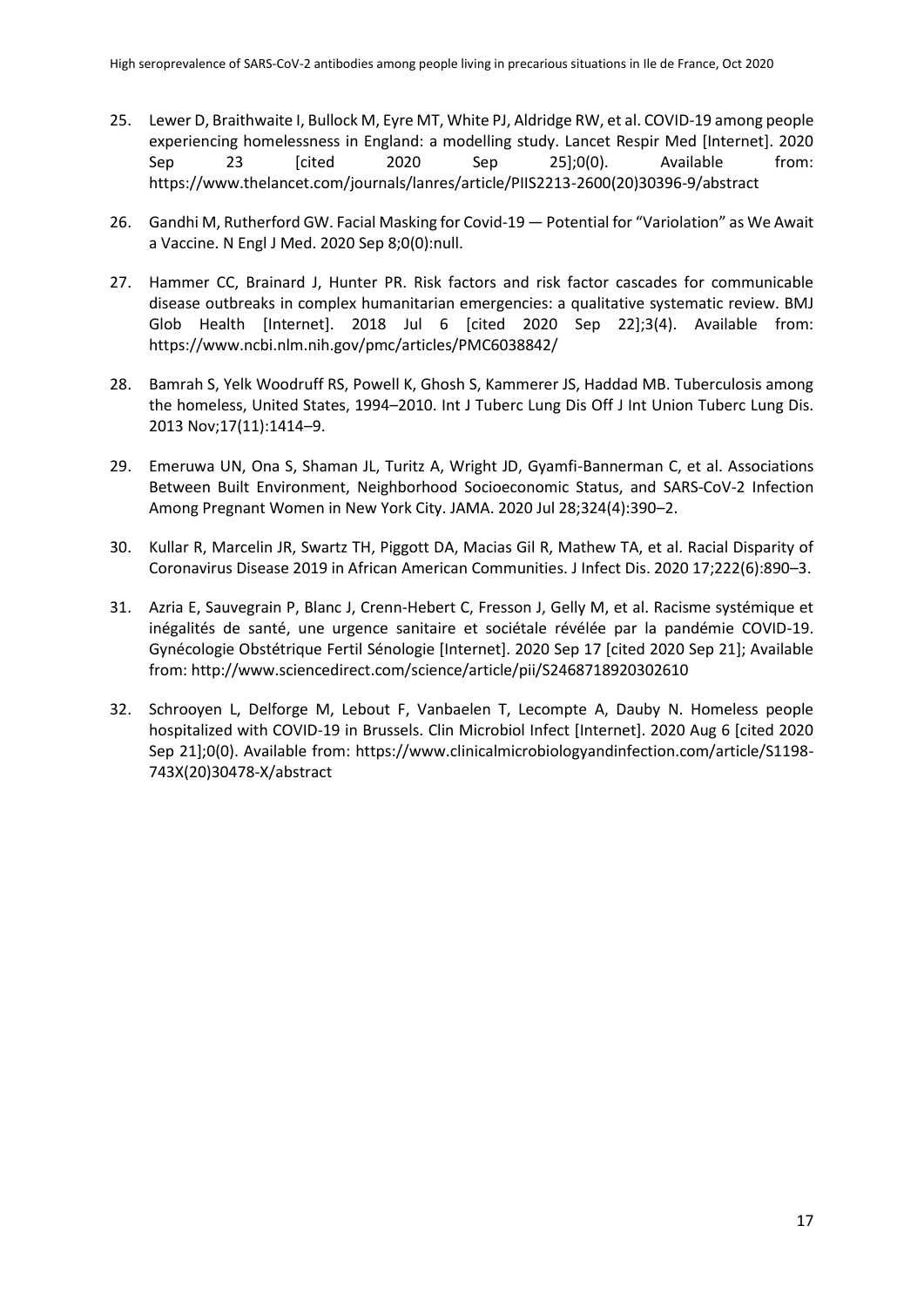- 25. Lewer D, Braithwaite I, Bullock M, Eyre MT, White PJ, Aldridge RW, et al. COVID-19 among people experiencing homelessness in England: a modelling study. Lancet Respir Med [Internet]. 2020 Sep 23 [cited 2020 Sep 25];0(0). Available from: https://www.thelancet.com/journals/lanres/article/PIIS2213-2600(20)30396-9/abstract
- 26. Gandhi M, Rutherford GW. Facial Masking for Covid-19 Potential for "Variolation" as We Await a Vaccine. N Engl J Med. 2020 Sep 8;0(0):null.
- 27. Hammer CC, Brainard J, Hunter PR. Risk factors and risk factor cascades for communicable disease outbreaks in complex humanitarian emergencies: a qualitative systematic review. BMJ Glob Health [Internet]. 2018 Jul 6 [cited 2020 Sep 22];3(4). Available from: https://www.ncbi.nlm.nih.gov/pmc/articles/PMC6038842/
- 28. Bamrah S, Yelk Woodruff RS, Powell K, Ghosh S, Kammerer JS, Haddad MB. Tuberculosis among the homeless, United States, 1994–2010. Int J Tuberc Lung Dis Off J Int Union Tuberc Lung Dis. 2013 Nov;17(11):1414–9.
- 29. Emeruwa UN, Ona S, Shaman JL, Turitz A, Wright JD, Gyamfi-Bannerman C, et al. Associations Between Built Environment, Neighborhood Socioeconomic Status, and SARS-CoV-2 Infection Among Pregnant Women in New York City. JAMA. 2020 Jul 28;324(4):390–2.
- 30. Kullar R, Marcelin JR, Swartz TH, Piggott DA, Macias Gil R, Mathew TA, et al. Racial Disparity of Coronavirus Disease 2019 in African American Communities. J Infect Dis. 2020 17;222(6):890–3.
- 31. Azria E, Sauvegrain P, Blanc J, Crenn-Hebert C, Fresson J, Gelly M, et al. Racisme systémique et inégalités de santé, une urgence sanitaire et sociétale révélée par la pandémie COVID-19. Gynécologie Obstétrique Fertil Sénologie [Internet]. 2020 Sep 17 [cited 2020 Sep 21]; Available from: http://www.sciencedirect.com/science/article/pii/S2468718920302610
- 32. Schrooyen L, Delforge M, Lebout F, Vanbaelen T, Lecompte A, Dauby N. Homeless people hospitalized with COVID-19 in Brussels. Clin Microbiol Infect [Internet]. 2020 Aug 6 [cited 2020 Sep 21];0(0). Available from: https://www.clinicalmicrobiologyandinfection.com/article/S1198- 743X(20)30478-X/abstract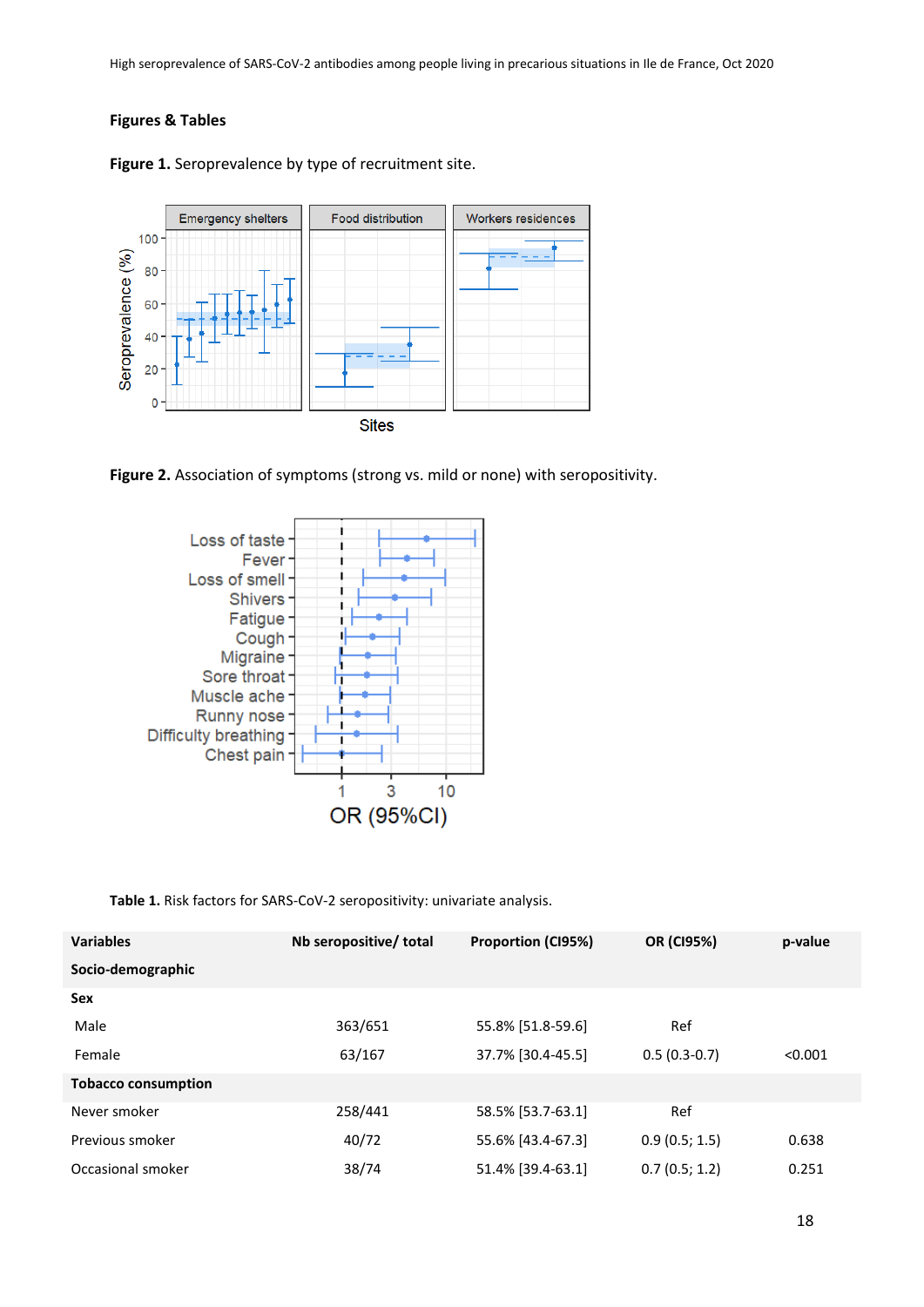## **Figures & Tables**



Figure 1. Seroprevalence by type of recruitment site.





**Table 1.** Risk factors for SARS-CoV-2 seropositivity: univariate analysis.

| <b>Variables</b>           | Nb seropositive/ total | <b>Proportion (CI95%)</b> | <b>OR (CI95%)</b> | p-value |
|----------------------------|------------------------|---------------------------|-------------------|---------|
| Socio-demographic          |                        |                           |                   |         |
| <b>Sex</b>                 |                        |                           |                   |         |
| Male                       | 363/651                | 55.8% [51.8-59.6]         | Ref               |         |
| Female                     | 63/167                 | 37.7% [30.4-45.5]         | $0.5(0.3-0.7)$    | < 0.001 |
| <b>Tobacco consumption</b> |                        |                           |                   |         |
| Never smoker               | 258/441                | 58.5% [53.7-63.1]         | Ref               |         |
| Previous smoker            | 40/72                  | 55.6% [43.4-67.3]         | 0.9(0.5; 1.5)     | 0.638   |
| Occasional smoker          | 38/74                  | 51.4% [39.4-63.1]         | 0.7(0.5; 1.2)     | 0.251   |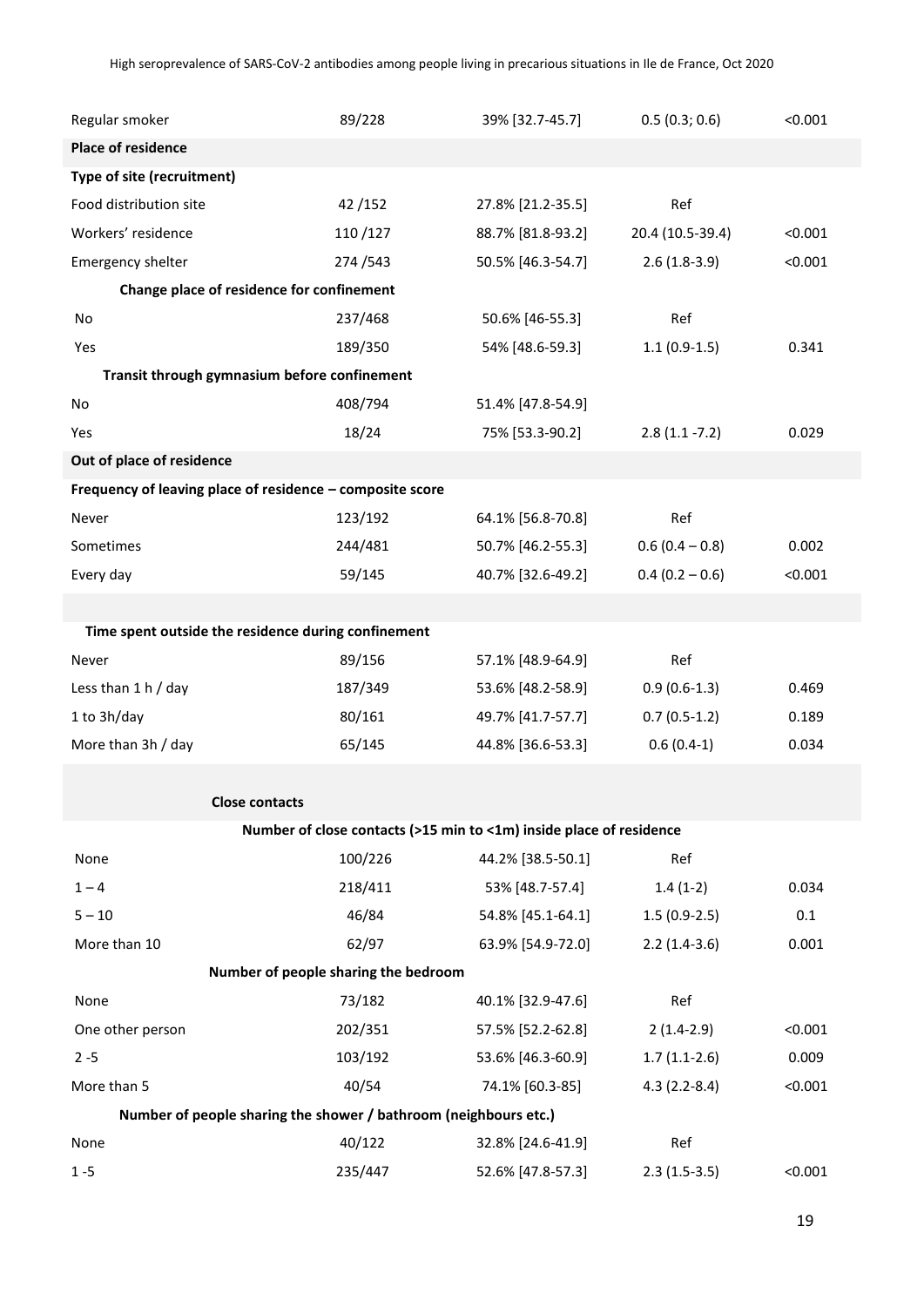| Regular smoker                                                   | 89/228                               | 39% [32.7-45.7]                                                     | 0.5(0.3; 0.6)    | < 0.001 |
|------------------------------------------------------------------|--------------------------------------|---------------------------------------------------------------------|------------------|---------|
| <b>Place of residence</b>                                        |                                      |                                                                     |                  |         |
| Type of site (recruitment)                                       |                                      |                                                                     |                  |         |
| Food distribution site                                           | 42/152                               | 27.8% [21.2-35.5]                                                   | Ref              |         |
| Workers' residence                                               | 110/127                              | 88.7% [81.8-93.2]                                                   | 20.4 (10.5-39.4) | < 0.001 |
| Emergency shelter                                                | 274/543                              | 50.5% [46.3-54.7]                                                   | $2.6(1.8-3.9)$   | < 0.001 |
| Change place of residence for confinement                        |                                      |                                                                     |                  |         |
| No                                                               | 237/468                              | 50.6% [46-55.3]                                                     | Ref              |         |
| Yes                                                              | 189/350                              | 54% [48.6-59.3]                                                     | $1.1(0.9-1.5)$   | 0.341   |
| Transit through gymnasium before confinement                     |                                      |                                                                     |                  |         |
| No                                                               | 408/794                              | 51.4% [47.8-54.9]                                                   |                  |         |
| Yes                                                              | 18/24                                | 75% [53.3-90.2]                                                     | $2.8(1.1 - 7.2)$ | 0.029   |
| Out of place of residence                                        |                                      |                                                                     |                  |         |
| Frequency of leaving place of residence - composite score        |                                      |                                                                     |                  |         |
| Never                                                            | 123/192                              | 64.1% [56.8-70.8]                                                   | Ref              |         |
| Sometimes                                                        | 244/481                              | 50.7% [46.2-55.3]                                                   | $0.6(0.4 - 0.8)$ | 0.002   |
| Every day                                                        | 59/145                               | 40.7% [32.6-49.2]                                                   | $0.4(0.2 - 0.6)$ | < 0.001 |
|                                                                  |                                      |                                                                     |                  |         |
| Time spent outside the residence during confinement              |                                      |                                                                     |                  |         |
| Never                                                            | 89/156                               | 57.1% [48.9-64.9]                                                   | Ref              |         |
| Less than $1 h / day$                                            | 187/349                              | 53.6% [48.2-58.9]                                                   | $0.9(0.6-1.3)$   | 0.469   |
| 1 to 3h/day                                                      | 80/161                               | 49.7% [41.7-57.7]                                                   | $0.7(0.5-1.2)$   | 0.189   |
| More than 3h / day                                               | 65/145                               | 44.8% [36.6-53.3]                                                   | $0.6(0.4-1)$     | 0.034   |
|                                                                  |                                      |                                                                     |                  |         |
| <b>Close contacts</b>                                            |                                      |                                                                     |                  |         |
|                                                                  |                                      | Number of close contacts (>15 min to <1m) inside place of residence |                  |         |
| None                                                             | 100/226                              | 44.2% [38.5-50.1]                                                   | Ref              |         |
| $1 - 4$                                                          | 218/411                              | 53% [48.7-57.4]                                                     | $1.4(1-2)$       | 0.034   |
| $5 - 10$                                                         | 46/84                                | 54.8% [45.1-64.1]                                                   | $1.5(0.9-2.5)$   | 0.1     |
| More than 10                                                     | 62/97                                | 63.9% [54.9-72.0]                                                   | $2.2(1.4-3.6)$   | 0.001   |
|                                                                  | Number of people sharing the bedroom |                                                                     |                  |         |
| None                                                             | 73/182                               | 40.1% [32.9-47.6]                                                   | Ref              |         |
| One other person                                                 | 202/351                              | 57.5% [52.2-62.8]                                                   | $2(1.4-2.9)$     | < 0.001 |
| $2 - 5$                                                          | 103/192                              | 53.6% [46.3-60.9]                                                   | $1.7(1.1-2.6)$   | 0.009   |
| More than 5                                                      | 40/54                                | 74.1% [60.3-85]                                                     | $4.3(2.2-8.4)$   | < 0.001 |
| Number of people sharing the shower / bathroom (neighbours etc.) |                                      |                                                                     |                  |         |
| None                                                             | 40/122                               | 32.8% [24.6-41.9]                                                   | Ref              |         |
| $1 - 5$                                                          | 235/447                              | 52.6% [47.8-57.3]                                                   | $2.3(1.5-3.5)$   | < 0.001 |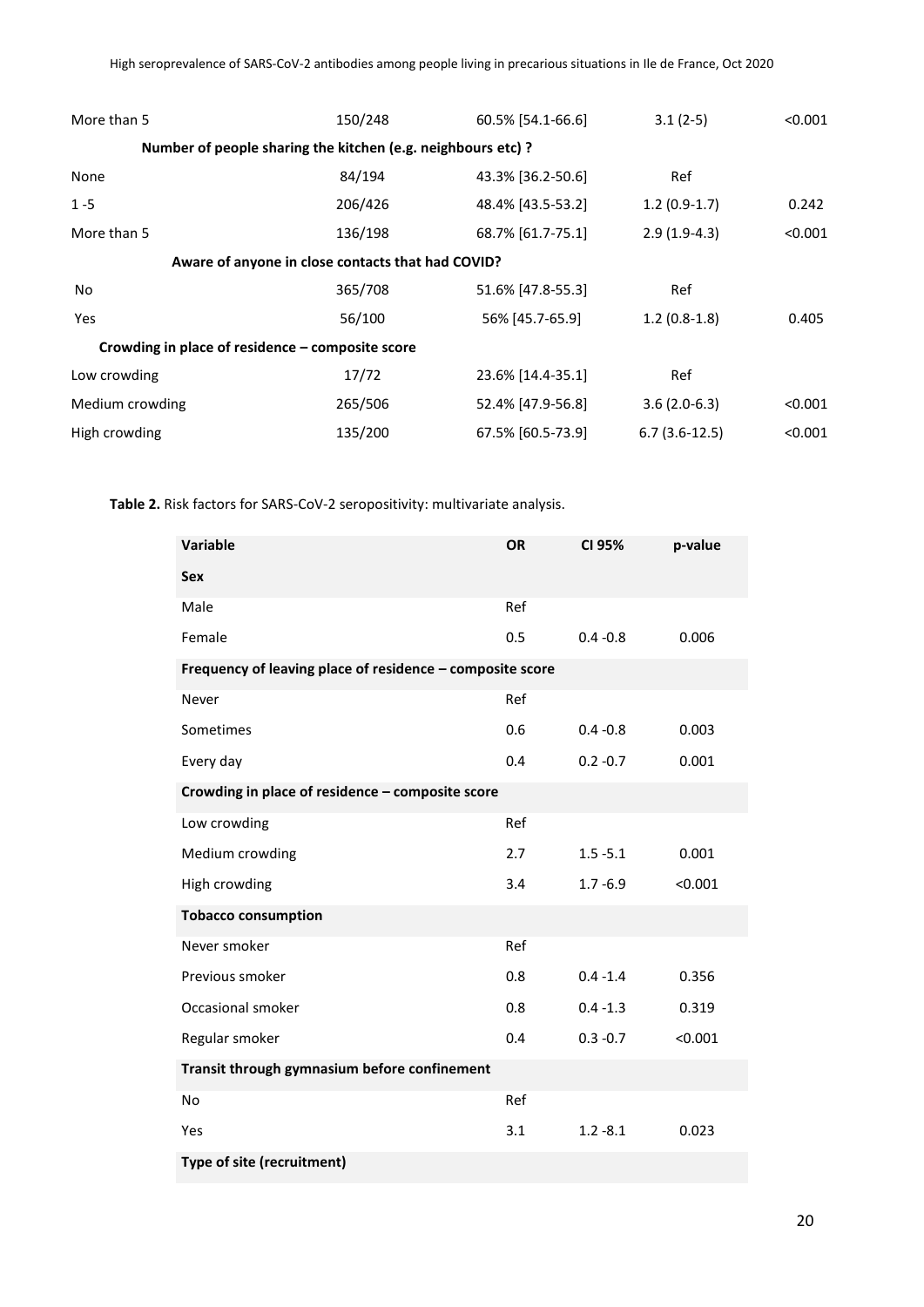| More than 5                                                  | 150/248 | 60.5% [54.1-66.6] | $3.1(2-5)$      | < 0.001 |  |
|--------------------------------------------------------------|---------|-------------------|-----------------|---------|--|
| Number of people sharing the kitchen (e.g. neighbours etc) ? |         |                   |                 |         |  |
| None                                                         | 84/194  | 43.3% [36.2-50.6] | Ref             |         |  |
| $1 - 5$                                                      | 206/426 | 48.4% [43.5-53.2] | $1.2(0.9-1.7)$  | 0.242   |  |
| More than 5                                                  | 136/198 | 68.7% [61.7-75.1] | $2.9(1.9-4.3)$  | < 0.001 |  |
| Aware of anyone in close contacts that had COVID?            |         |                   |                 |         |  |
| No.                                                          | 365/708 | 51.6% [47.8-55.3] | Ref             |         |  |
| Yes                                                          | 56/100  | 56% [45.7-65.9]   | $1.2(0.8-1.8)$  | 0.405   |  |
| Crowding in place of residence – composite score             |         |                   |                 |         |  |
| Low crowding                                                 | 17/72   | 23.6% [14.4-35.1] | Ref             |         |  |
| Medium crowding                                              | 265/506 | 52.4% [47.9-56.8] | $3.6(2.0-6.3)$  | < 0.001 |  |
| High crowding                                                | 135/200 | 67.5% [60.5-73.9] | $6.7(3.6-12.5)$ | < 0.001 |  |

**Table 2.** Risk factors for SARS-CoV-2 seropositivity: multivariate analysis.

| <b>Variable</b>                                           | OR  | CI 95%      | p-value |
|-----------------------------------------------------------|-----|-------------|---------|
| <b>Sex</b>                                                |     |             |         |
| Male                                                      | Ref |             |         |
| Female                                                    | 0.5 | $0.4 - 0.8$ | 0.006   |
| Frequency of leaving place of residence - composite score |     |             |         |
| Never                                                     | Ref |             |         |
| Sometimes                                                 | 0.6 | $0.4 - 0.8$ | 0.003   |
| Every day                                                 | 0.4 | $0.2 - 0.7$ | 0.001   |
| Crowding in place of residence - composite score          |     |             |         |
| Low crowding                                              | Ref |             |         |
| Medium crowding                                           | 2.7 | $1.5 - 5.1$ | 0.001   |
| High crowding                                             | 3.4 | $1.7 - 6.9$ | < 0.001 |
| <b>Tobacco consumption</b>                                |     |             |         |
| Never smoker                                              | Ref |             |         |
| Previous smoker                                           | 0.8 | $0.4 - 1.4$ | 0.356   |
| Occasional smoker                                         | 0.8 | $0.4 - 1.3$ | 0.319   |
| Regular smoker                                            | 0.4 | $0.3 - 0.7$ | < 0.001 |
| Transit through gymnasium before confinement              |     |             |         |
| No                                                        | Ref |             |         |
| Yes                                                       | 3.1 | $1.2 - 8.1$ | 0.023   |
| Type of site (recruitment)                                |     |             |         |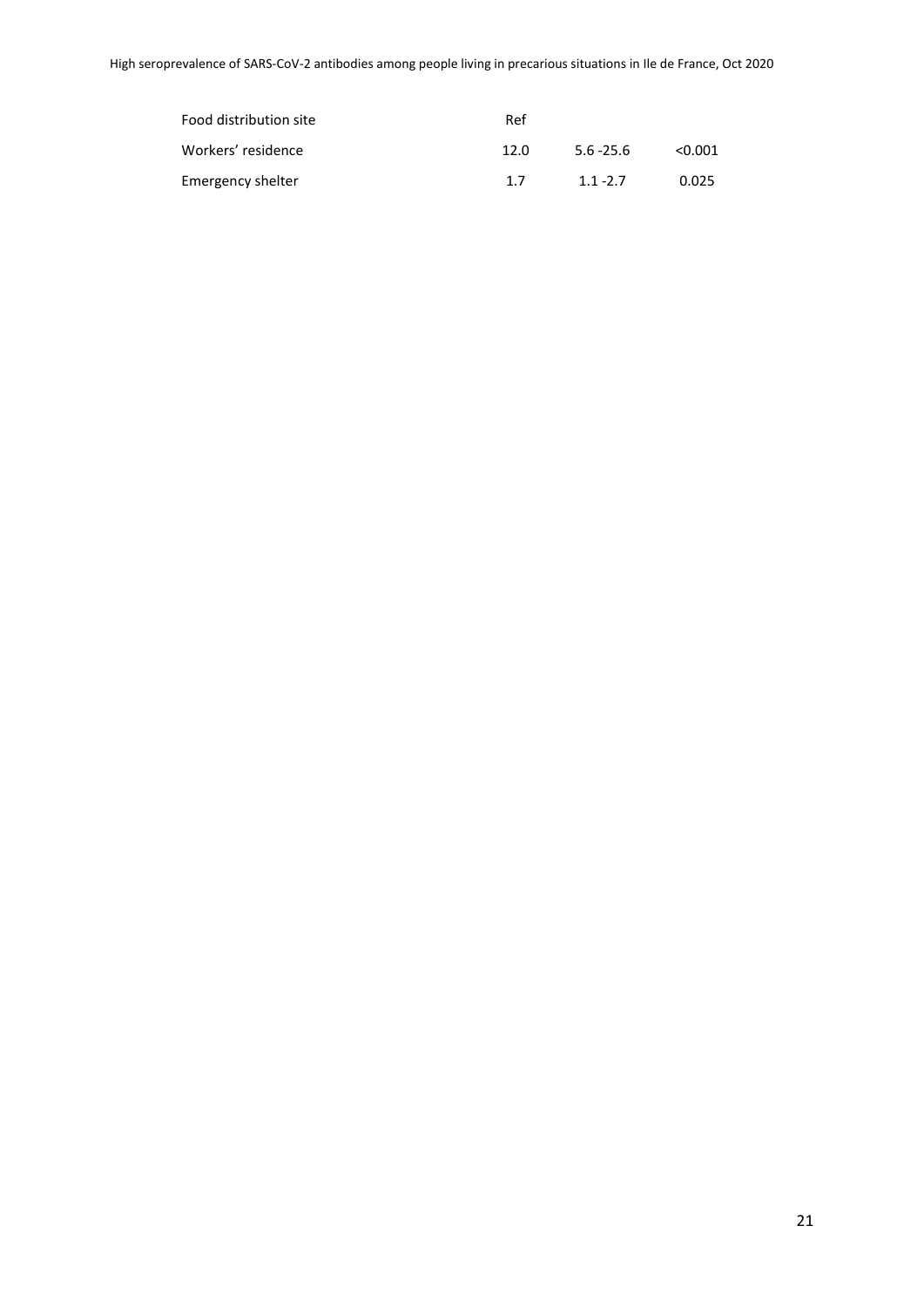| Food distribution site | Ref  |              |         |
|------------------------|------|--------------|---------|
| Workers' residence     | 12.0 | $5.6 - 25.6$ | < 0.001 |
| Emergency shelter      | 17   | $1.1 - 2.7$  | 0.025   |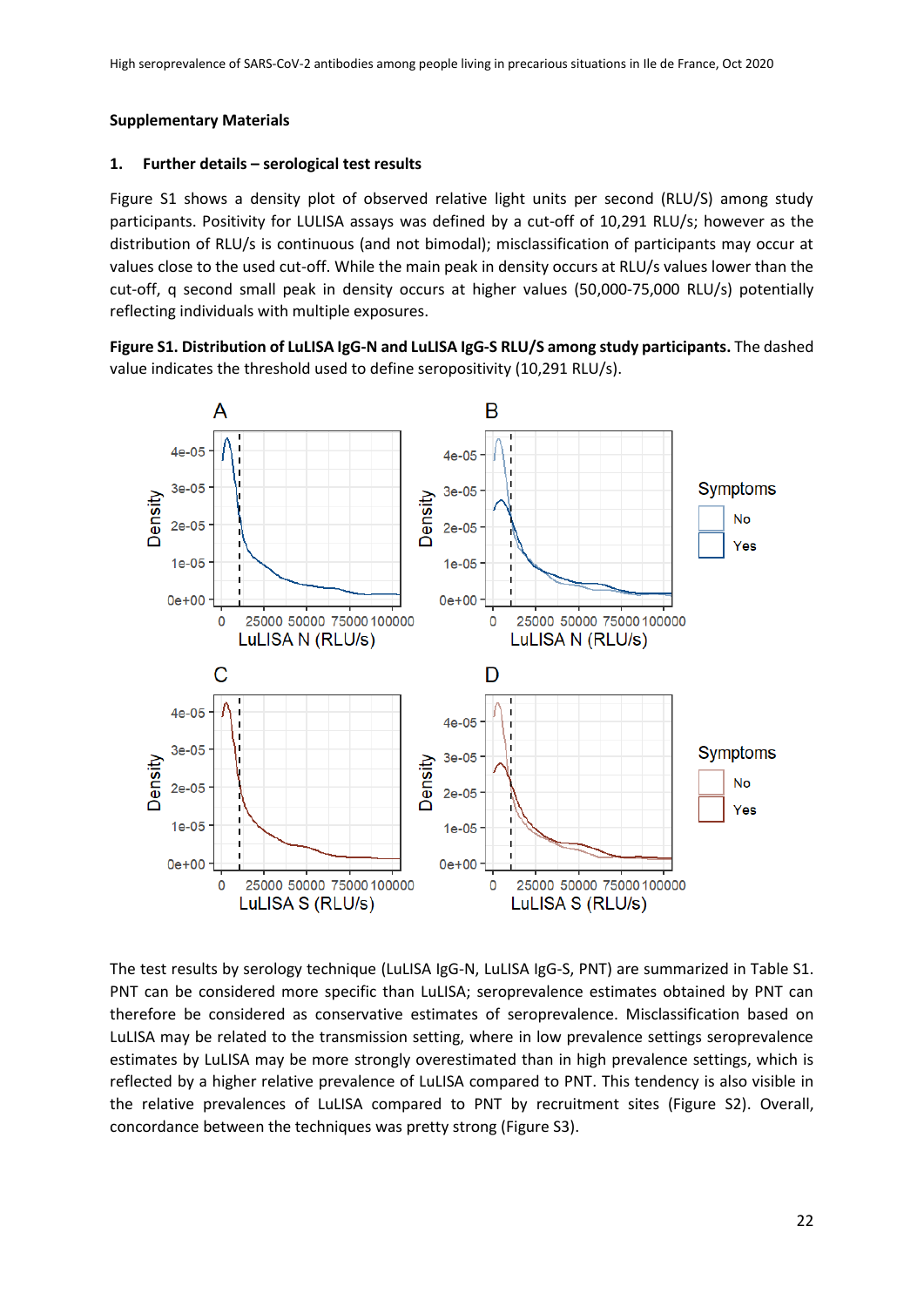## **Supplementary Materials**

## **1. Further details – serological test results**

Figure S1 shows a density plot of observed relative light units per second (RLU/S) among study participants. Positivity for LULISA assays was defined by a cut-off of 10,291 RLU/s; however as the distribution of RLU/s is continuous (and not bimodal); misclassification of participants may occur at values close to the used cut-off. While the main peak in density occurs at RLU/s values lower than the cut-off, q second small peak in density occurs at higher values (50,000-75,000 RLU/s) potentially reflecting individuals with multiple exposures.





The test results by serology technique (LuLISA IgG-N, LuLISA IgG-S, PNT) are summarized in Table S1. PNT can be considered more specific than LuLISA; seroprevalence estimates obtained by PNT can therefore be considered as conservative estimates of seroprevalence. Misclassification based on LuLISA may be related to the transmission setting, where in low prevalence settings seroprevalence estimates by LuLISA may be more strongly overestimated than in high prevalence settings, which is reflected by a higher relative prevalence of LuLISA compared to PNT. This tendency is also visible in the relative prevalences of LuLISA compared to PNT by recruitment sites (Figure S2). Overall, concordance between the techniques was pretty strong (Figure S3).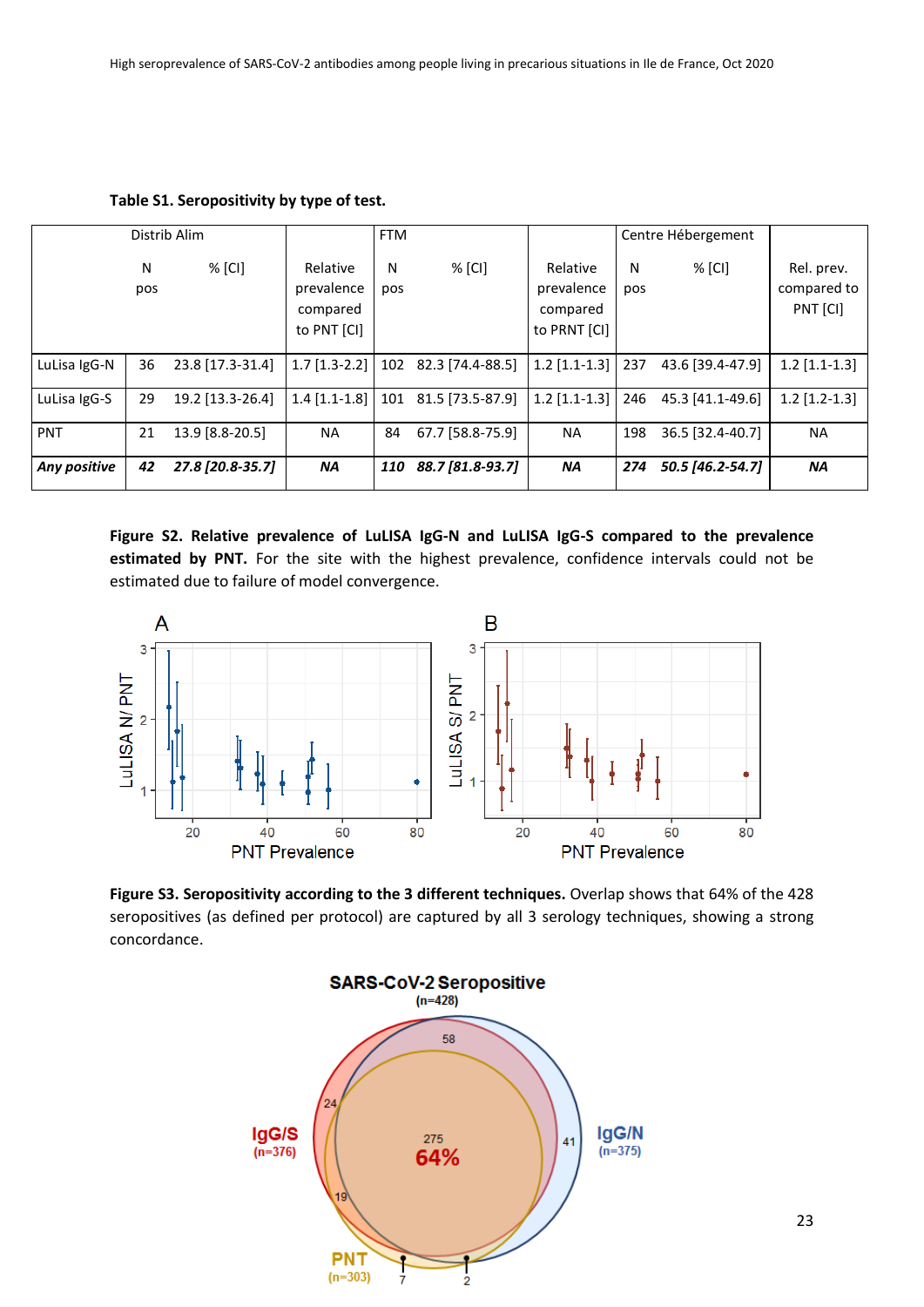|              |          | Distrib Alim     |                                                   | <b>FTM</b> |                      |                                                    |          | Centre Hébergement |                                       |
|--------------|----------|------------------|---------------------------------------------------|------------|----------------------|----------------------------------------------------|----------|--------------------|---------------------------------------|
|              | N<br>pos | $%$ [CI]         | Relative<br>prevalence<br>compared<br>to PNT [CI] | N<br>pos   | % [CI]               | Relative<br>prevalence<br>compared<br>to PRNT [CI] | N<br>pos | % [CI]             | Rel. prev.<br>compared to<br>PNT [CI] |
| LuLisa IgG-N | 36       | 23.8 [17.3-31.4] | $1.7$ [1.3-2.2]                                   |            | 102 82.3 [74.4-88.5] | $1.2$ [1.1-1.3]                                    | 237      | 43.6 [39.4-47.9]   | $1.2$ [1.1-1.3]                       |
| LuLisa IgG-S | 29       | 19.2 [13.3-26.4] | $1.4$ [1.1-1.8]                                   | 101        | 81.5 [73.5-87.9]     | $1.2$ [1.1-1.3]                                    | 246      | 45.3 [41.1-49.6]   | $1.2$ [1.2-1.3]                       |
| PNT          | 21       | 13.9 [8.8-20.5]  | <b>NA</b>                                         | 84         | 67.7 [58.8-75.9]     | <b>NA</b>                                          | 198      | 36.5 [32.4-40.7]   | <b>NA</b>                             |
| Any positive | 42       | 27.8 [20.8-35.7] | <b>NA</b>                                         | <b>110</b> | 88.7 [81.8-93.7]     | <b>NA</b>                                          | 274      | 50.5 [46.2-54.7]   | <b>NA</b>                             |

**Table S1. Seropositivity by type of test.**

**Figure S2. Relative prevalence of LuLISA IgG-N and LuLISA IgG-S compared to the prevalence estimated by PNT.** For the site with the highest prevalence, confidence intervals could not be estimated due to failure of model convergence.



**Figure S3. Seropositivity according to the 3 different techniques.** Overlap shows that 64% of the 428 seropositives (as defined per protocol) are captured by all 3 serology techniques, showing a strong concordance.

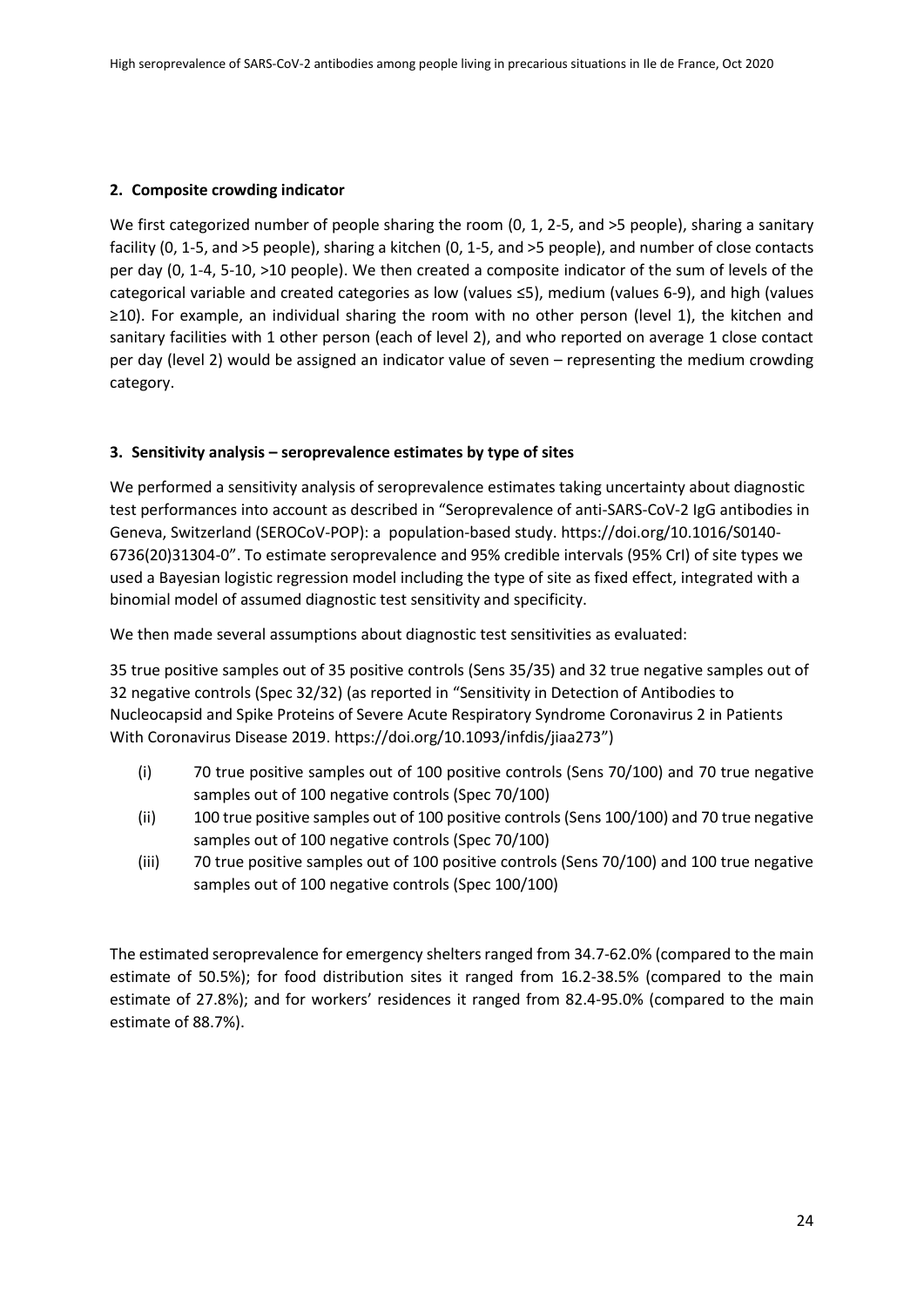### **2. Composite crowding indicator**

We first categorized number of people sharing the room (0, 1, 2-5, and >5 people), sharing a sanitary facility (0, 1-5, and >5 people), sharing a kitchen (0, 1-5, and >5 people), and number of close contacts per day (0, 1-4, 5-10, >10 people). We then created a composite indicator of the sum of levels of the categorical variable and created categories as low (values ≤5), medium (values 6-9), and high (values ≥10). For example, an individual sharing the room with no other person (level 1), the kitchen and sanitary facilities with 1 other person (each of level 2), and who reported on average 1 close contact per day (level 2) would be assigned an indicator value of seven – representing the medium crowding category.

## **3. Sensitivity analysis – seroprevalence estimates by type of sites**

We performed a sensitivity analysis of seroprevalence estimates taking uncertainty about diagnostic test performances into account as described in "Seroprevalence of anti-SARS-CoV-2 IgG antibodies in Geneva, Switzerland (SEROCoV-POP): a population-based study[. https://doi.org/10.1016/S0140-](https://doi.org/10.1016/S0140-6736(20)31304-0) [6736\(20\)31304-0](https://doi.org/10.1016/S0140-6736(20)31304-0)". To estimate seroprevalence and 95% credible intervals (95% CrI) of site types we used a Bayesian logistic regression model including the type of site as fixed effect, integrated with a binomial model of assumed diagnostic test sensitivity and specificity.

We then made several assumptions about diagnostic test sensitivities as evaluated:

35 true positive samples out of 35 positive controls (Sens 35/35) and 32 true negative samples out of 32 negative controls (Spec 32/32) (as reported in "Sensitivity in Detection of Antibodies to Nucleocapsid and Spike Proteins of Severe Acute Respiratory Syndrome Coronavirus 2 in Patients With Coronavirus Disease 2019[. https://doi.org/10.1093/infdis/jiaa273](https://doi.org/10.1093/infdis/jiaa273)")

- (i) 70 true positive samples out of 100 positive controls (Sens 70/100) and 70 true negative samples out of 100 negative controls (Spec 70/100)
- (ii) 100 true positive samples out of 100 positive controls (Sens 100/100) and 70 true negative samples out of 100 negative controls (Spec 70/100)
- (iii) 70 true positive samples out of 100 positive controls (Sens 70/100) and 100 true negative samples out of 100 negative controls (Spec 100/100)

The estimated seroprevalence for emergency shelters ranged from 34.7-62.0% (compared to the main estimate of 50.5%); for food distribution sites it ranged from 16.2-38.5% (compared to the main estimate of 27.8%); and for workers' residences it ranged from 82.4-95.0% (compared to the main estimate of 88.7%).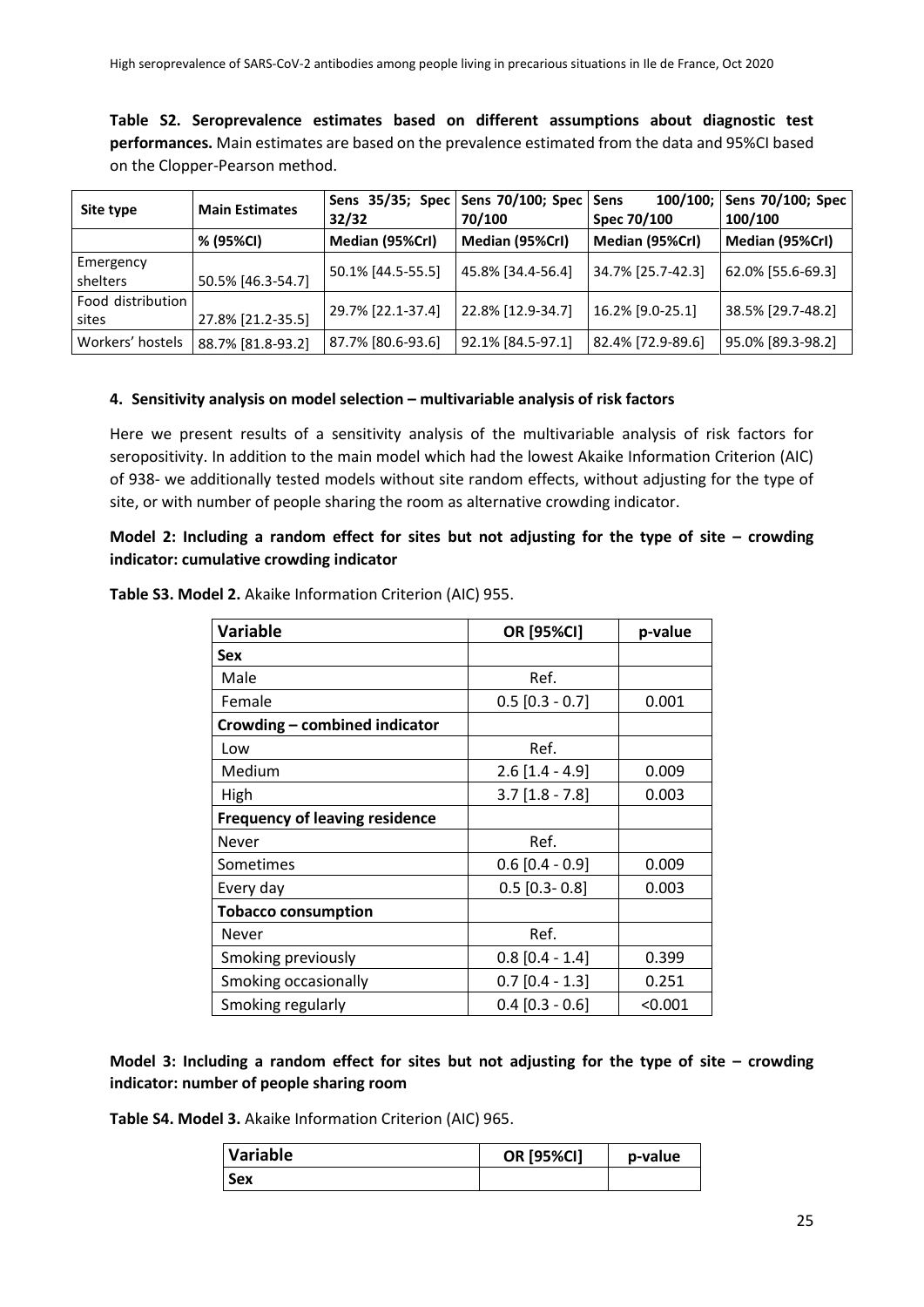**Table S2. Seroprevalence estimates based on different assumptions about diagnostic test performances.** Main estimates are based on the prevalence estimated from the data and 95%CI based on the Clopper-Pearson method.

| Site type                  | <b>Main Estimates</b> | 32/32             | Sens 35/35; Spec   Sens 70/100; Spec   Sens<br>70/100 | Spec 70/100       | 100/100; Sens 70/100; Spec<br>100/100 |
|----------------------------|-----------------------|-------------------|-------------------------------------------------------|-------------------|---------------------------------------|
|                            | % (95%CI)             | Median (95%Crl)   | Median (95%Crl)                                       | Median (95%Crl)   | Median (95%Crl)                       |
| Emergency<br>shelters      | 50.5% [46.3-54.7]     | 50.1% [44.5-55.5] | 45.8% [34.4-56.4]                                     | 34.7% [25.7-42.3] | 62.0% [55.6-69.3]                     |
| Food distribution<br>sites | 27.8% [21.2-35.5]     | 29.7% [22.1-37.4] | 22.8% [12.9-34.7]                                     | 16.2% [9.0-25.1]  | 38.5% [29.7-48.2]                     |
| Workers' hostels           | 88.7% [81.8-93.2]     | 87.7% [80.6-93.6] | 92.1% [84.5-97.1]                                     | 82.4% [72.9-89.6] | 95.0% [89.3-98.2]                     |

### **4. Sensitivity analysis on model selection – multivariable analysis of risk factors**

Here we present results of a sensitivity analysis of the multivariable analysis of risk factors for seropositivity. In addition to the main model which had the lowest Akaike Information Criterion (AIC) of 938- we additionally tested models without site random effects, without adjusting for the type of site, or with number of people sharing the room as alternative crowding indicator.

# **Model 2: Including a random effect for sites but not adjusting for the type of site – crowding indicator: cumulative crowding indicator**

| <b>Variable</b>                       | OR [95%CI]        | p-value |
|---------------------------------------|-------------------|---------|
| <b>Sex</b>                            |                   |         |
| Male                                  | Ref.              |         |
| Female                                | $0.5$ [0.3 - 0.7] | 0.001   |
| Crowding - combined indicator         |                   |         |
| Low                                   | Ref.              |         |
| Medium                                | $2.6$ [1.4 - 4.9] | 0.009   |
| High                                  | $3.7$ [1.8 - 7.8] | 0.003   |
| <b>Frequency of leaving residence</b> |                   |         |
| Never                                 | Ref.              |         |
| Sometimes                             | $0.6$ [0.4 - 0.9] | 0.009   |
| Every day                             | $0.5$ [0.3- 0.8]  | 0.003   |
| <b>Tobacco consumption</b>            |                   |         |
| <b>Never</b>                          | Ref.              |         |
| Smoking previously                    | $0.8$ [0.4 - 1.4] | 0.399   |
| Smoking occasionally                  | $0.7$ [0.4 - 1.3] | 0.251   |
| Smoking regularly                     | $0.4$ [0.3 - 0.6] | < 0.001 |

**Table S3. Model 2.** Akaike Information Criterion (AIC) 955.

**Model 3: Including a random effect for sites but not adjusting for the type of site – crowding indicator: number of people sharing room**

**Table S4. Model 3.** Akaike Information Criterion (AIC) 965.

| Variable | <b>OR [95%CI]</b> | p-value |  |
|----------|-------------------|---------|--|
| Sex      |                   |         |  |